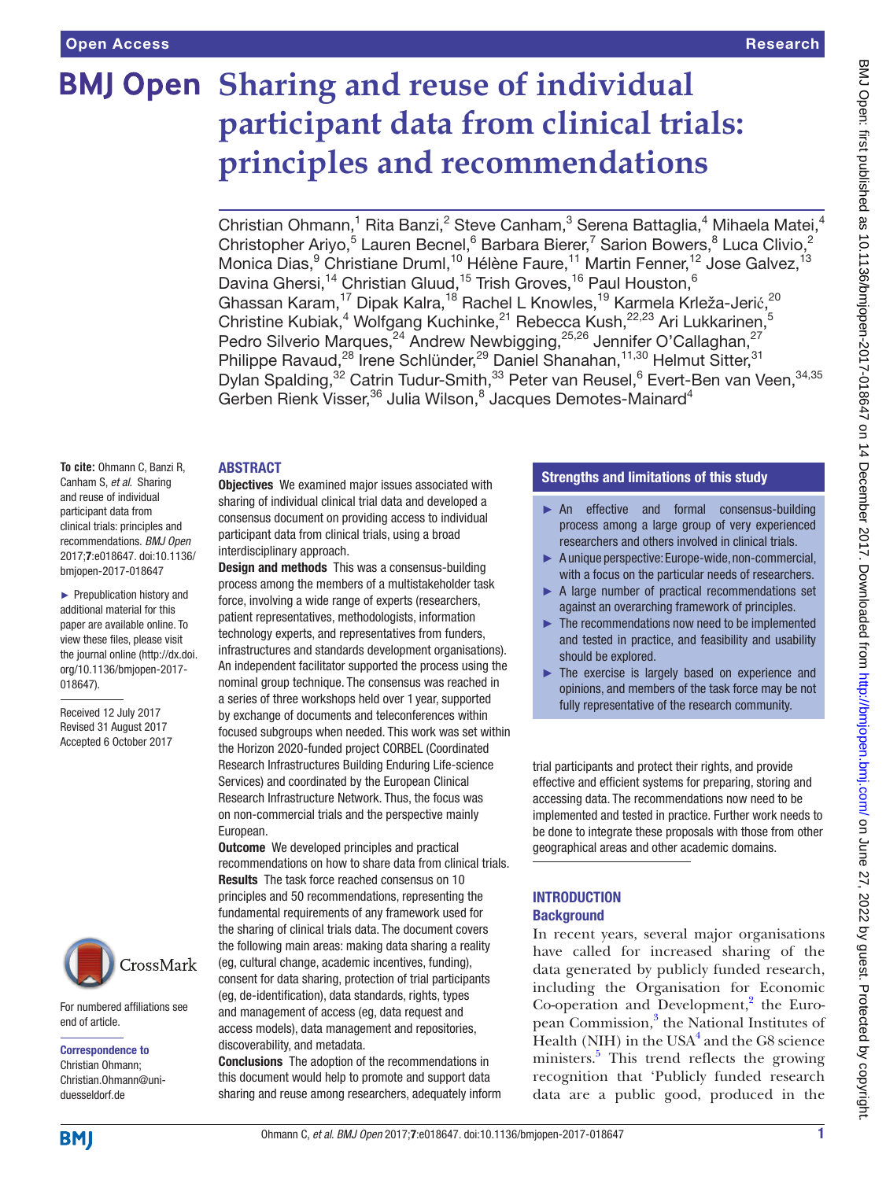# **BMJ Open Sharing and reuse of individual participant data from clinical trials: principles and recommendations**

Christian Ohmann,<sup>1</sup> Rita Banzi,<sup>2</sup> Steve Canham,<sup>3</sup> Serena Battaglia,<sup>4</sup> Mihaela Matei,<sup>4</sup> Christopher Ariyo,<sup>5</sup> Lauren Becnel,<sup>6</sup> Barbara Bierer,<sup>7</sup> Sarion Bowers,<sup>8</sup> Luca Clivio,<sup>2</sup> Monica Dias,<sup>9</sup> Christiane Druml,<sup>10</sup> Hélène Faure,<sup>11</sup> Martin Fenner,<sup>12</sup> Jose Galvez,<sup>13</sup> Davina Ghersi,<sup>14</sup> Christian Gluud,<sup>15</sup> Trish Groves,<sup>16</sup> Paul Houston, 6 Ghassan Karam,<sup>17</sup> Dipak Kalra,<sup>18</sup> Rachel L Knowles,<sup>19</sup> Karmela Krleža-Jerić,<sup>20</sup> Christine Kubiak,<sup>4</sup> Wolfgang Kuchinke,<sup>21</sup> Rebecca Kush,<sup>22,23</sup> Ari Lukkarinen,<sup>5</sup> Pedro Silverio Marques,<sup>24</sup> Andrew Newbigging,<sup>25,26</sup> Jennifer O'Callaghan,<sup>27</sup> Philippe Ravaud,<sup>28</sup> Irene Schlünder,<sup>29</sup> Daniel Shanahan,<sup>11,30</sup> Helmut Sitter,<sup>31</sup> Dylan Spalding,<sup>32</sup> Catrin Tudur-Smith,<sup>33</sup> Peter van Reusel,<sup>6</sup> Evert-Ben van Veen,<sup>34,35</sup> Gerben Rienk Visser,<sup>36</sup> Julia Wilson,<sup>8</sup> Jacques Demotes-Mainard<sup>4</sup>

#### **ABSTRACT**

**To cite:** Ohmann C, Banzi R, Canham S, *et al*. Sharing and reuse of individual participant data from clinical trials: principles and recommendations. *BMJ Open* 2017;7:e018647. doi:10.1136/ bmjopen-2017-018647

► Prepublication history and additional material for this paper are available online. To view these files, please visit the journal online [\(http://dx.doi.](http://dx.doi.org/10.1136/bmjopen-2017-018647) [org/10.1136/bmjopen-2017-](http://dx.doi.org/10.1136/bmjopen-2017-018647) [018647\)](http://dx.doi.org/10.1136/bmjopen-2017-018647).

Received 12 July 2017 Revised 31 August 2017 Accepted 6 October 2017



For numbered affiliations see end of article.

Correspondence to

Christian Ohmann; Christian.Ohmann@uniduesseldorf.de

**Objectives** We examined major issues associated with sharing of individual clinical trial data and developed a consensus document on providing access to individual participant data from clinical trials, using a broad interdisciplinary approach.

Design and methods This was a consensus-building process among the members of a multistakeholder task force, involving a wide range of experts (researchers, patient representatives, methodologists, information technology experts, and representatives from funders, infrastructures and standards development organisations). An independent facilitator supported the process using the nominal group technique. The consensus was reached in a series of three workshops held over 1 year, supported by exchange of documents and teleconferences within focused subgroups when needed. This work was set within the Horizon 2020-funded project CORBEL (Coordinated Research Infrastructures Building Enduring Life-science Services) and coordinated by the European Clinical Research Infrastructure Network. Thus, the focus was on non-commercial trials and the perspective mainly European.

**Outcome** We developed principles and practical recommendations on how to share data from clinical trials. Results The task force reached consensus on 10 principles and 50 recommendations, representing the fundamental requirements of any framework used for the sharing of clinical trials data. The document covers the following main areas: making data sharing a reality (eg, cultural change, academic incentives, funding), consent for data sharing, protection of trial participants (eg, de-identification), data standards, rights, types and management of access (eg, data request and access models), data management and repositories, discoverability, and metadata.

Conclusions The adoption of the recommendations in this document would help to promote and support data sharing and reuse among researchers, adequately inform

#### Strengths and limitations of this study

- ► An effective and formal consensus-building process among a large group of very experienced researchers and others involved in clinical trials.
- ► A unique perspective: Europe-wide, non-commercial, with a focus on the particular needs of researchers.
- ► A large number of practical recommendations set against an overarching framework of principles.
- ► The recommendations now need to be implemented and tested in practice, and feasibility and usability should be explored.
- ► The exercise is largely based on experience and opinions, and members of the task force may be not fully representative of the research community.

trial participants and protect their rights, and provide effective and efficient systems for preparing, storing and accessing data. The recommendations now need to be implemented and tested in practice. Further work needs to be done to integrate these proposals with those from other geographical areas and other academic domains.

#### **INTRODUCTION Background**

In recent years, several major organisations have called for increased sharing of the data generated by publicly funded research, including the Organisation for Economic Co-operation and Development,<sup>2</sup> the European Commission,<sup>3</sup> the National Institutes of Health (NIH) in the  $USA<sup>4</sup>$  $USA<sup>4</sup>$  $USA<sup>4</sup>$  and the G8 science ministers.<sup>[5](#page-22-3)</sup> This trend reflects the growing recognition that 'Publicly funded research data are a public good, produced in the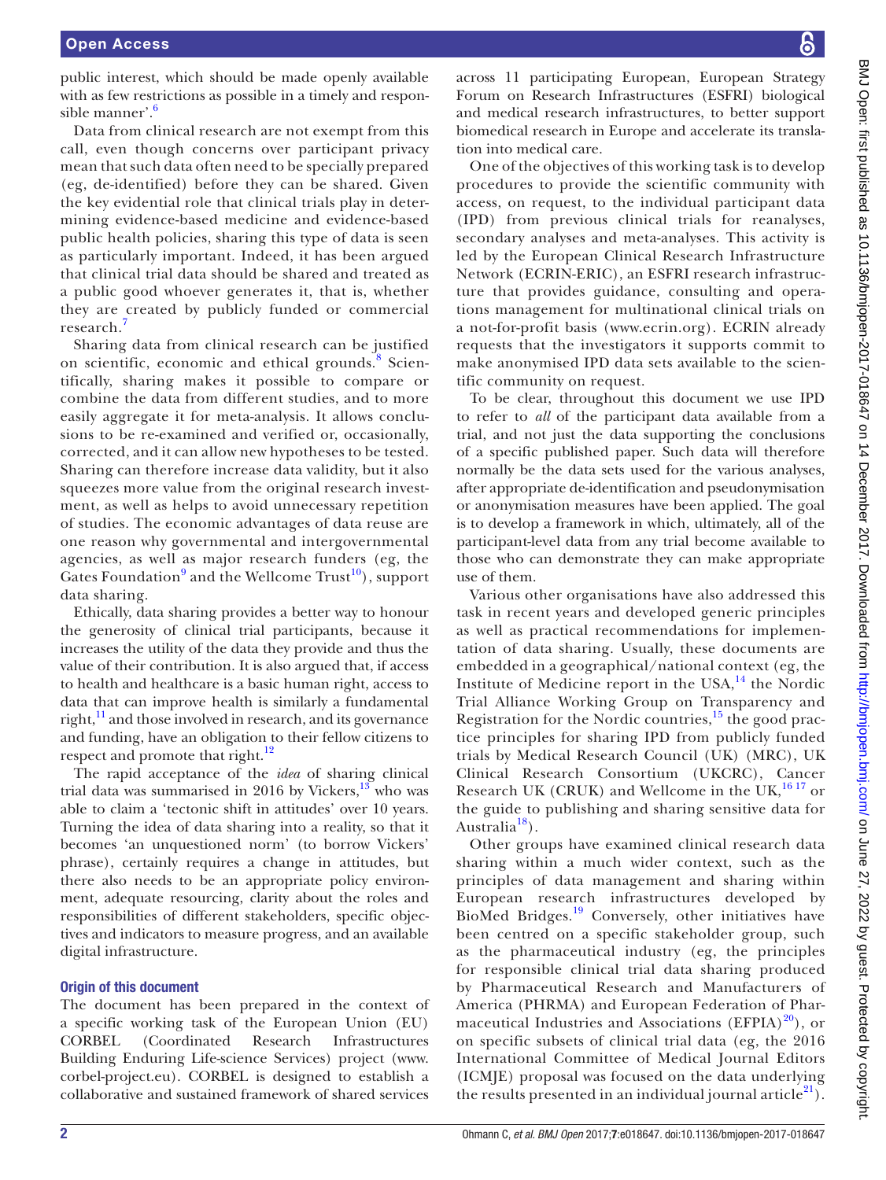public interest, which should be made openly available with as few restrictions as possible in a timely and respon-sible manner'.<sup>[6](#page-22-4)</sup>

Data from clinical research are not exempt from this call, even though concerns over participant privacy mean that such data often need to be specially prepared (eg, de-identified) before they can be shared. Given the key evidential role that clinical trials play in determining evidence-based medicine and evidence-based public health policies, sharing this type of data is seen as particularly important. Indeed, it has been argued that clinical trial data should be shared and treated as a public good whoever generates it, that is, whether they are created by publicly funded or commercial research.[7](#page-22-5)

Sharing data from clinical research can be justified on scientific, economic and ethical grounds.<sup>[8](#page-22-6)</sup> Scientifically, sharing makes it possible to compare or combine the data from different studies, and to more easily aggregate it for meta-analysis. It allows conclusions to be re-examined and verified or, occasionally, corrected, and it can allow new hypotheses to be tested. Sharing can therefore increase data validity, but it also squeezes more value from the original research investment, as well as helps to avoid unnecessary repetition of studies. The economic advantages of data reuse are one reason why governmental and intergovernmental agencies, as well as major research funders (eg, the Gates Foundation<sup>[9](#page-22-7)</sup> and the Wellcome Trust<sup>[10](#page-22-8)</sup>), support data sharing.

Ethically, data sharing provides a better way to honour the generosity of clinical trial participants, because it increases the utility of the data they provide and thus the value of their contribution. It is also argued that, if access to health and healthcare is a basic human right, access to data that can improve health is similarly a fundamental right, $11$  and those involved in research, and its governance and funding, have an obligation to their fellow citizens to respect and promote that right.<sup>12</sup>

The rapid acceptance of the *idea* of sharing clinical trial data was summarised in  $2016$  by Vickers,<sup>13</sup> who was able to claim a 'tectonic shift in attitudes' over 10 years. Turning the idea of data sharing into a reality, so that it becomes 'an unquestioned norm' (to borrow Vickers' phrase), certainly requires a change in attitudes, but there also needs to be an appropriate policy environment, adequate resourcing, clarity about the roles and responsibilities of different stakeholders, specific objectives and indicators to measure progress, and an available digital infrastructure.

#### Origin of this document

The document has been prepared in the context of a specific working task of the European Union (EU) CORBEL (Coordinated Research Infrastructures Building Enduring Life-science Services) project [\(www.](www.corbel-project.eu) [corbel-project.eu\)](www.corbel-project.eu). CORBEL is designed to establish a collaborative and sustained framework of shared services

across 11 participating European, European Strategy Forum on Research Infrastructures (ESFRI) biological and medical research infrastructures, to better support biomedical research in Europe and accelerate its translation into medical care.

One of the objectives of this working task is to develop procedures to provide the scientific community with access, on request, to the individual participant data (IPD) from previous clinical trials for reanalyses, secondary analyses and meta-analyses. This activity is led by the European Clinical Research Infrastructure Network (ECRIN-ERIC), an ESFRI research infrastructure that provides guidance, consulting and operations management for multinational clinical trials on a not-for-profit basis (<www.ecrin.org>). ECRIN already requests that the investigators it supports commit to make anonymised IPD data sets available to the scientific community on request.

To be clear, throughout this document we use IPD to refer to *all* of the participant data available from a trial, and not just the data supporting the conclusions of a specific published paper. Such data will therefore normally be the data sets used for the various analyses, after appropriate de-identification and pseudonymisation or anonymisation measures have been applied. The goal is to develop a framework in which, ultimately, all of the participant-level data from any trial become available to those who can demonstrate they can make appropriate use of them.

Various other organisations have also addressed this task in recent years and developed generic principles as well as practical recommendations for implementation of data sharing. Usually, these documents are embedded in a geographical/national context (eg, the Institute of Medicine report in the USA, $^{14}$  the Nordic Trial Alliance Working Group on Transparency and Registration for the Nordic countries,  $^{15}$  $^{15}$  $^{15}$  the good practice principles for sharing IPD from publicly funded trials by Medical Research Council (UK) (MRC), UK Clinical Research Consortium (UKCRC), Cancer Research UK (CRUK) and Wellcome in the UK, $^{16}$ 17 or the guide to publishing and sharing sensitive data for Australia $18$ ).

Other groups have examined clinical research data sharing within a much wider context, such as the principles of data management and sharing within European research infrastructures developed by BioMed Bridges.[19](#page-22-16) Conversely, other initiatives have been centred on a specific stakeholder group, such as the pharmaceutical industry (eg, the principles for responsible clinical trial data sharing produced by Pharmaceutical Research and Manufacturers of America (PHRMA) and European Federation of Pharmaceutical Industries and Associations (EFPIA) $^{20}$ ), or on specific subsets of clinical trial data (eg, the 2016 International Committee of Medical Journal Editors (ICMJE) proposal was focused on the data underlying the results presented in an individual journal article $^{21}$ ).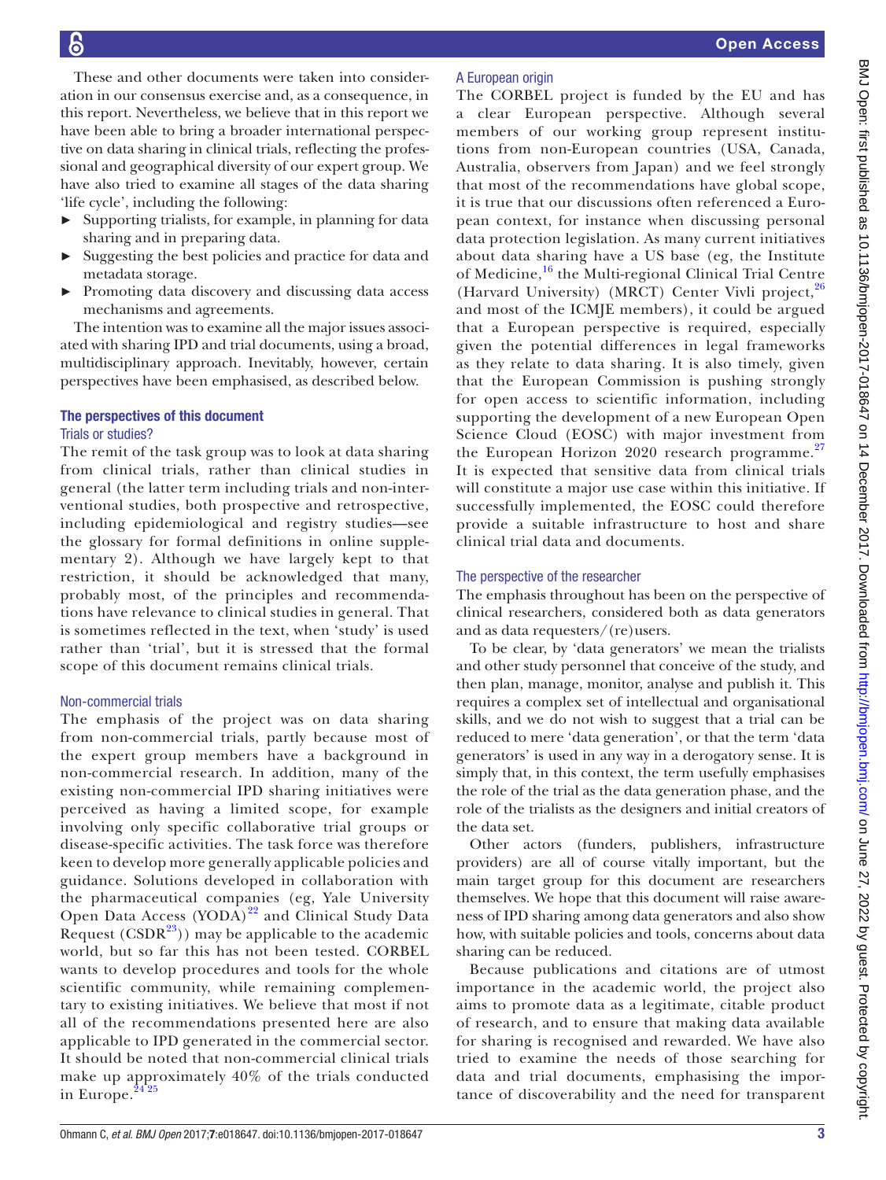These and other documents were taken into consideration in our consensus exercise and, as a consequence, in this report. Nevertheless, we believe that in this report we have been able to bring a broader international perspective on data sharing in clinical trials, reflecting the professional and geographical diversity of our expert group. We have also tried to examine all stages of the data sharing 'life cycle', including the following:

- ► Supporting trialists, for example, in planning for data sharing and in preparing data.
- ► Suggesting the best policies and practice for data and metadata storage.
- ► Promoting data discovery and discussing data access mechanisms and agreements.

The intention was to examine all the major issues associated with sharing IPD and trial documents, using a broad, multidisciplinary approach. Inevitably, however, certain perspectives have been emphasised, as described below.

## The perspectives of this document

#### Trials or studies?

The remit of the task group was to look at data sharing from clinical trials, rather than clinical studies in general (the latter term including trials and non-interventional studies, both prospective and retrospective, including epidemiological and registry studies—see the glossary for formal definitions in online [supple](https://dx.doi.org/10.1136/bmjopen-2017-018647)[mentary 2](https://dx.doi.org/10.1136/bmjopen-2017-018647)). Although we have largely kept to that restriction, it should be acknowledged that many, probably most, of the principles and recommendations have relevance to clinical studies in general. That is sometimes reflected in the text, when 'study' is used rather than 'trial', but it is stressed that the formal scope of this document remains clinical trials.

#### Non-commercial trials

The emphasis of the project was on data sharing from non-commercial trials, partly because most of the expert group members have a background in non-commercial research. In addition, many of the existing non-commercial IPD sharing initiatives were perceived as having a limited scope, for example involving only specific collaborative trial groups or disease-specific activities. The task force was therefore keen to develop more generally applicable policies and guidance. Solutions developed in collaboration with the pharmaceutical companies (eg, Yale University Open Data Access (YODA) $^{22}$  and Clinical Study Data Request  $(CSDR<sup>23</sup>)$  $(CSDR<sup>23</sup>)$  $(CSDR<sup>23</sup>)$  may be applicable to the academic world, but so far this has not been tested. CORBEL wants to develop procedures and tools for the whole scientific community, while remaining complementary to existing initiatives. We believe that most if not all of the recommendations presented here are also applicable to IPD generated in the commercial sector. It should be noted that non-commercial clinical trials make up approximately 40% of the trials conducted in Europe.<sup>2425</sup>

#### A European origin

The CORBEL project is funded by the EU and has a clear European perspective. Although several members of our working group represent institutions from non-European countries (USA, Canada, Australia, observers from Japan) and we feel strongly that most of the recommendations have global scope, it is true that our discussions often referenced a European context, for instance when discussing personal data protection legislation. As many current initiatives about data sharing have a US base (eg, the Institute of Medicine,<sup>16</sup> the Multi-regional Clinical Trial Centre (Harvard University) (MRCT) Center Vivli project,<sup>[26](#page-22-22)</sup> and most of the ICMJE members), it could be argued that a European perspective is required, especially given the potential differences in legal frameworks as they relate to data sharing. It is also timely, given that the European Commission is pushing strongly for open access to scientific information, including supporting the development of a new European Open Science Cloud (EOSC) with major investment from the European Horizon 2020 research programme. $27$ It is expected that sensitive data from clinical trials will constitute a major use case within this initiative. If successfully implemented, the EOSC could therefore provide a suitable infrastructure to host and share clinical trial data and documents.

#### The perspective of the researcher

The emphasis throughout has been on the perspective of clinical researchers, considered both as data generators and as data requesters/(re)users.

To be clear, by 'data generators' we mean the trialists and other study personnel that conceive of the study, and then plan, manage, monitor, analyse and publish it. This requires a complex set of intellectual and organisational skills, and we do not wish to suggest that a trial can be reduced to mere 'data generation', or that the term 'data generators' is used in any way in a derogatory sense. It is simply that, in this context, the term usefully emphasises the role of the trial as the data generation phase, and the role of the trialists as the designers and initial creators of the data set.

Other actors (funders, publishers, infrastructure providers) are all of course vitally important, but the main target group for this document are researchers themselves. We hope that this document will raise awareness of IPD sharing among data generators and also show how, with suitable policies and tools, concerns about data sharing can be reduced.

Because publications and citations are of utmost importance in the academic world, the project also aims to promote data as a legitimate, citable product of research, and to ensure that making data available for sharing is recognised and rewarded. We have also tried to examine the needs of those searching for data and trial documents, emphasising the importance of discoverability and the need for transparent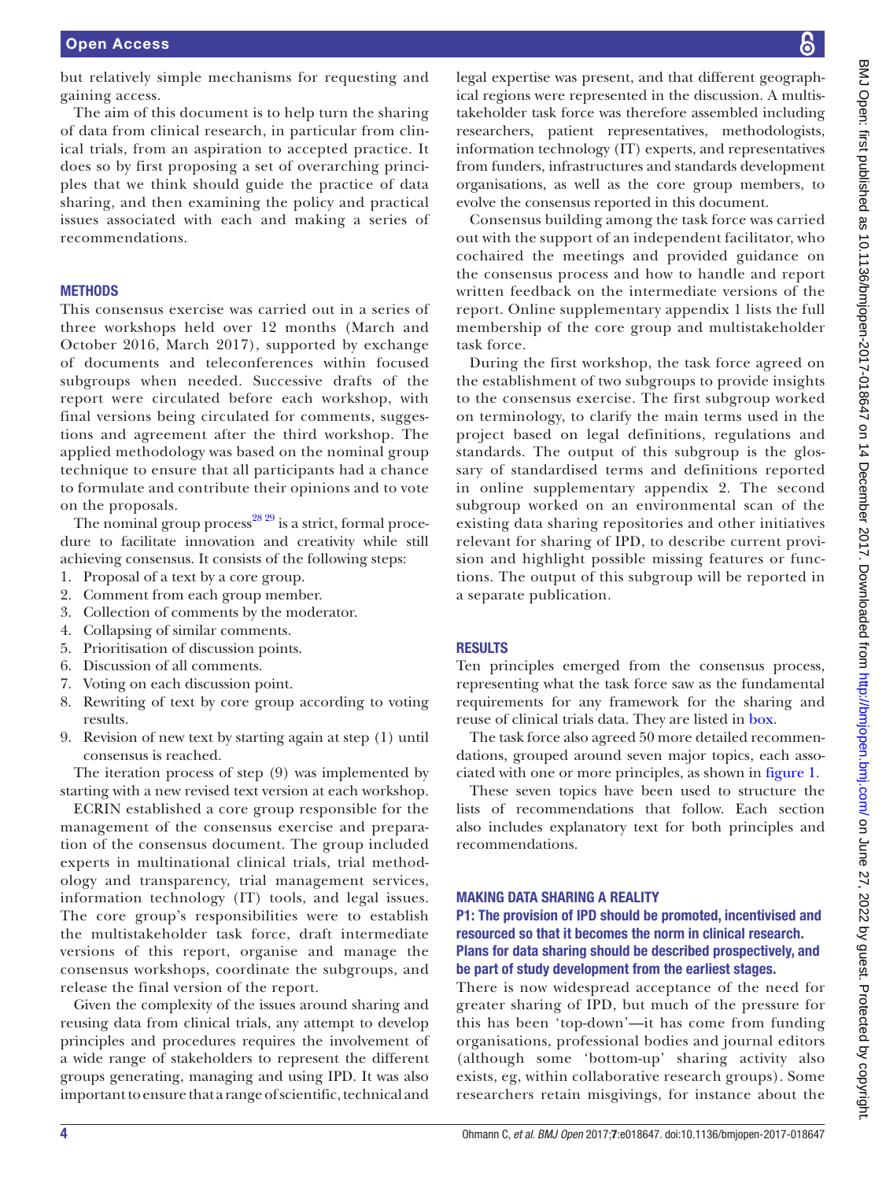gaining access. The aim of this document is to help turn the sharing of data from clinical research, in particular from clinical trials, from an aspiration to accepted practice. It does so by first proposing a set of overarching principles that we think should guide the practice of data sharing, and then examining the policy and practical issues associated with each and making a series of recommendations.

#### **METHODS**

This consensus exercise was carried out in a series of three workshops held over 12 months (March and October 2016, March 2017), supported by exchange of documents and teleconferences within focused subgroups when needed. Successive drafts of the report were circulated before each workshop, with final versions being circulated for comments, suggestions and agreement after the third workshop. The applied methodology was based on the nominal group technique to ensure that all participants had a chance to formulate and contribute their opinions and to vote on the proposals.

The nominal group process<sup>28 29</sup> is a strict, formal procedure to facilitate innovation and creativity while still achieving consensus. It consists of the following steps:

- 1. Proposal of a text by a core group.
- 2. Comment from each group member.
- 3. Collection of comments by the moderator.
- 4. Collapsing of similar comments.
- 5. Prioritisation of discussion points.
- 6. Discussion of all comments.
- 7. Voting on each discussion point.
- 8. Rewriting of text by core group according to voting results.
- 9. Revision of new text by starting again at step (1) until consensus is reached.

The iteration process of step (9) was implemented by starting with a new revised text version at each workshop.

ECRIN established a core group responsible for the management of the consensus exercise and preparation of the consensus document. The group included experts in multinational clinical trials, trial methodology and transparency, trial management services, information technology (IT) tools, and legal issues. The core group's responsibilities were to establish the multistakeholder task force, draft intermediate versions of this report, organise and manage the consensus workshops, coordinate the subgroups, and release the final version of the report.

Given the complexity of the issues around sharing and reusing data from clinical trials, any attempt to develop principles and procedures requires the involvement of a wide range of stakeholders to represent the different groups generating, managing and using IPD. It was also important to ensure that a range of scientific, technical and

legal expertise was present, and that different geographical regions were represented in the discussion. A multistakeholder task force was therefore assembled including researchers, patient representatives, methodologists, information technology (IT) experts, and representatives from funders, infrastructures and standards development organisations, as well as the core group members, to evolve the consensus reported in this document.

Consensus building among the task force was carried out with the support of an independent facilitator, who cochaired the meetings and provided guidance on the consensus process and how to handle and report written feedback on the intermediate versions of the report. Online [supplementary appendix 1](https://dx.doi.org/10.1136/bmjopen-2017-018647) lists the full membership of the core group and multistakeholder task force.

During the first workshop, the task force agreed on the establishment of two subgroups to provide insights to the consensus exercise. The first subgroup worked on terminology, to clarify the main terms used in the project based on legal definitions, regulations and standards. The output of this subgroup is the glossary of standardised terms and definitions reported in online [supplementary appendix 2.](https://dx.doi.org/10.1136/bmjopen-2017-018647) The second subgroup worked on an environmental scan of the existing data sharing repositories and other initiatives relevant for sharing of IPD, to describe current provision and highlight possible missing features or functions. The output of this subgroup will be reported in a separate publication.

#### **RESULTS**

Ten principles emerged from the consensus process, representing what the task force saw as the fundamental requirements for any framework for the sharing and reuse of clinical trials data. They are listed in [box](#page-4-0).

The task force also agreed 50 more detailed recommendations, grouped around seven major topics, each associated with one or more principles, as shown in [figure](#page-4-1) 1.

These seven topics have been used to structure the lists of recommendations that follow. Each section also includes explanatory text for both principles and recommendations.

#### Making data sharing a reality

#### P1: The provision of IPD should be promoted, incentivised and resourced so that it becomes the norm in clinical research. Plans for data sharing should be described prospectively, and be part of study development from the earliest stages.

There is now widespread acceptance of the need for greater sharing of IPD, but much of the pressure for this has been 'top-down'—it has come from funding organisations, professional bodies and journal editors (although some 'bottom-up' sharing activity also exists, eg, within collaborative research groups). Some researchers retain misgivings, for instance about the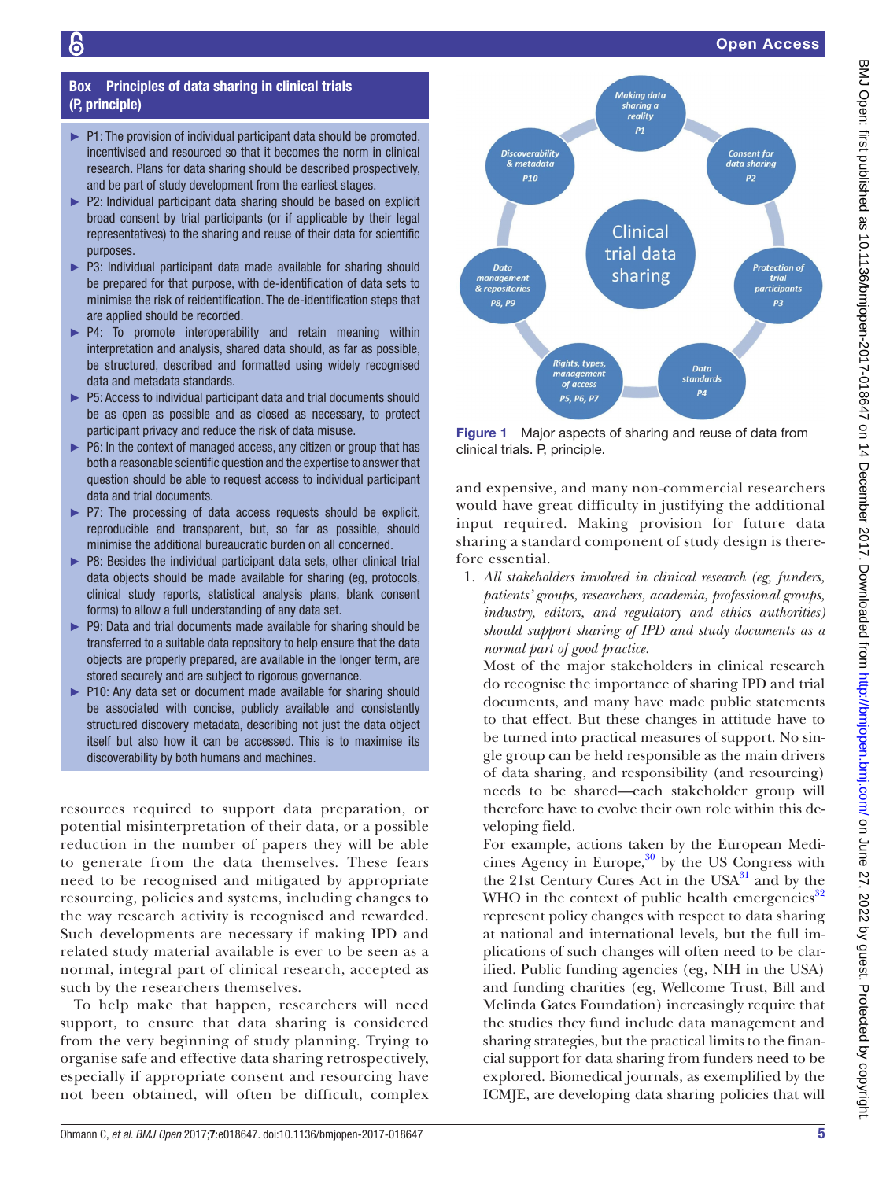BMJ Open: first published as 10.1136/bmjopen-2017-018647 on 14 December 2017. Downloaded from <http://bmjopen.bmj.com/> on June 27, 2022 by guest. Protected by copyright.

#### Box Principles of data sharing in clinical trials (P, principle)

- <span id="page-4-0"></span> $\blacktriangleright$  P1: The provision of individual participant data should be promoted. incentivised and resourced so that it becomes the norm in clinical research. Plans for data sharing should be described prospectively, and be part of study development from the earliest stages.
- ► P2: Individual participant data sharing should be based on explicit broad consent by trial participants (or if applicable by their legal representatives) to the sharing and reuse of their data for scientific purposes.
- ► P3: Individual participant data made available for sharing should be prepared for that purpose, with de-identification of data sets to minimise the risk of reidentification. The de-identification steps that are applied should be recorded.
- ► P4: To promote interoperability and retain meaning within interpretation and analysis, shared data should, as far as possible, be structured, described and formatted using widely recognised data and metadata standards.
- ► P5: Access to individual participant data and trial documents should be as open as possible and as closed as necessary, to protect participant privacy and reduce the risk of data misuse.
- $\blacktriangleright$  P6: In the context of managed access, any citizen or group that has both a reasonable scientific question and the expertise to answer that question should be able to request access to individual participant data and trial documents.
- ► P7: The processing of data access requests should be explicit, reproducible and transparent, but, so far as possible, should minimise the additional bureaucratic burden on all concerned.
- ► P8: Besides the individual participant data sets, other clinical trial data objects should be made available for sharing (eg, protocols, clinical study reports, statistical analysis plans, blank consent forms) to allow a full understanding of any data set.
- ► P9: Data and trial documents made available for sharing should be transferred to a suitable data repository to help ensure that the data objects are properly prepared, are available in the longer term, are stored securely and are subject to rigorous governance.
- ► P10: Any data set or document made available for sharing should be associated with concise, publicly available and consistently structured discovery metadata, describing not just the data object itself but also how it can be accessed. This is to maximise its discoverability by both humans and machines.

resources required to support data preparation, or potential misinterpretation of their data, or a possible reduction in the number of papers they will be able to generate from the data themselves. These fears need to be recognised and mitigated by appropriate resourcing, policies and systems, including changes to the way research activity is recognised and rewarded. Such developments are necessary if making IPD and related study material available is ever to be seen as a normal, integral part of clinical research, accepted as such by the researchers themselves.

To help make that happen, researchers will need support, to ensure that data sharing is considered from the very beginning of study planning. Trying to organise safe and effective data sharing retrospectively, especially if appropriate consent and resourcing have not been obtained, will often be difficult, complex



<span id="page-4-1"></span>Figure 1 Major aspects of sharing and reuse of data from clinical trials. P, principle.

and expensive, and many non-commercial researchers would have great difficulty in justifying the additional input required. Making provision for future data sharing a standard component of study design is therefore essential.

1. *All stakeholders involved in clinical research (eg, funders, patients' groups, researchers, academia, professional groups, industry, editors, and regulatory and ethics authorities) should support sharing of IPD and study documents as a normal part of good practice.*

Most of the major stakeholders in clinical research do recognise the importance of sharing IPD and trial documents, and many have made public statements to that effect. But these changes in attitude have to be turned into practical measures of support. No single group can be held responsible as the main drivers of data sharing, and responsibility (and resourcing) needs to be shared—each stakeholder group will therefore have to evolve their own role within this developing field.

For example, actions taken by the European Medicines Agency in Europe, $30$  by the US Congress with the  $21st$  Century Cures Act in the USA $31$  and by the WHO in the context of public health emergencies $32$ represent policy changes with respect to data sharing at national and international levels, but the full implications of such changes will often need to be clarified. Public funding agencies (eg, NIH in the USA) and funding charities (eg, Wellcome Trust, Bill and Melinda Gates Foundation) increasingly require that the studies they fund include data management and sharing strategies, but the practical limits to the financial support for data sharing from funders need to be explored. Biomedical journals, as exemplified by the ICMJE, are developing data sharing policies that will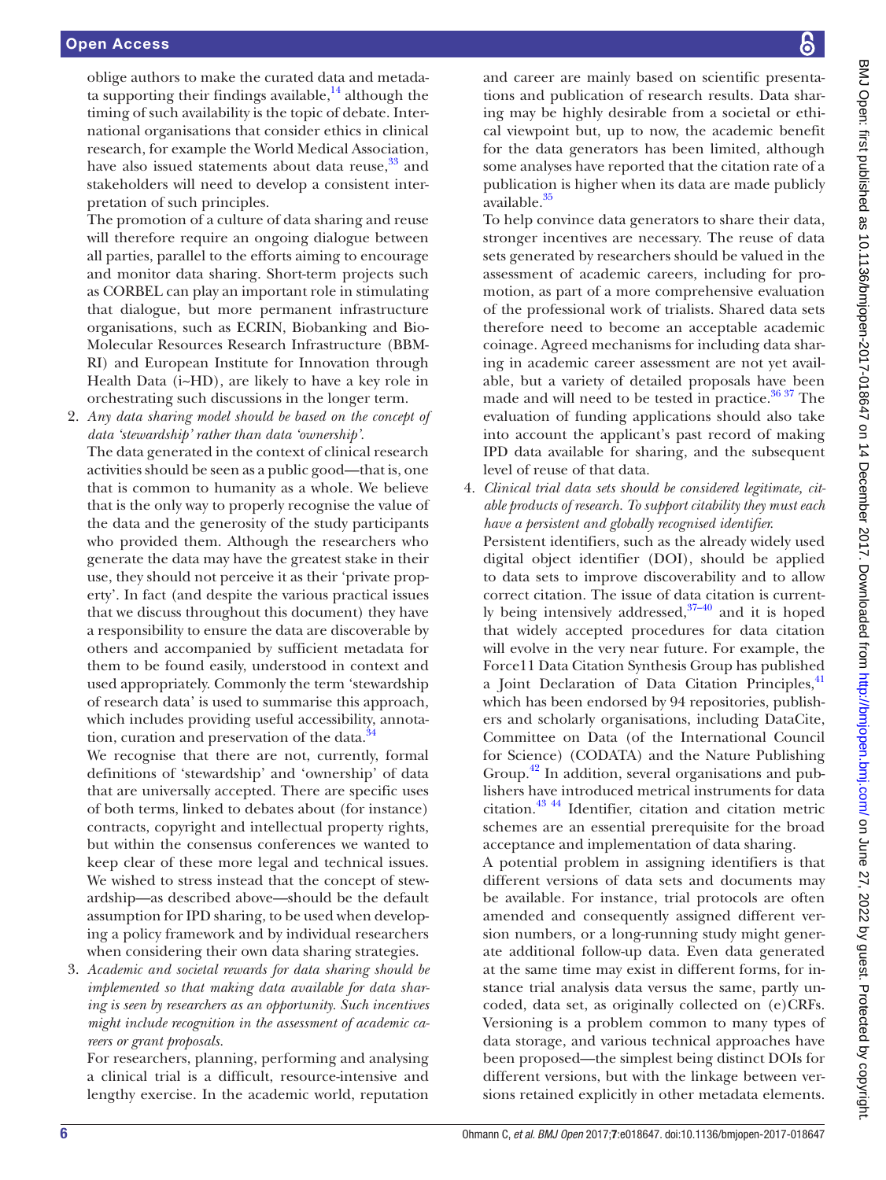oblige authors to make the curated data and metadata supporting their findings available, $^{14}$  $^{14}$  $^{14}$  although the timing of such availability is the topic of debate. International organisations that consider ethics in clinical research, for example the World Medical Association, have also issued statements about data reuse, $33$  and stakeholders will need to develop a consistent interpretation of such principles.

The promotion of a culture of data sharing and reuse will therefore require an ongoing dialogue between all parties, parallel to the efforts aiming to encourage and monitor data sharing. Short-term projects such as CORBEL can play an important role in stimulating that dialogue, but more permanent infrastructure organisations, such as ECRIN, Biobanking and Bio-Molecular Resources Research Infrastructure (BBM-RI) and European Institute for Innovation through Health Data (i~HD), are likely to have a key role in orchestrating such discussions in the longer term.

2. *Any data sharing model should be based on the concept of data 'stewardship' rather than data 'ownership'.*

The data generated in the context of clinical research activities should be seen as a public good—that is, one that is common to humanity as a whole. We believe that is the only way to properly recognise the value of the data and the generosity of the study participants who provided them. Although the researchers who generate the data may have the greatest stake in their use, they should not perceive it as their 'private property'. In fact (and despite the various practical issues that we discuss throughout this document) they have a responsibility to ensure the data are discoverable by others and accompanied by sufficient metadata for them to be found easily, understood in context and used appropriately. Commonly the term 'stewardship of research data' is used to summarise this approach, which includes providing useful accessibility, annotation, curation and preservation of the data.<sup>34</sup>

We recognise that there are not, currently, formal definitions of 'stewardship' and 'ownership' of data that are universally accepted. There are specific uses of both terms, linked to debates about (for instance) contracts, copyright and intellectual property rights, but within the consensus conferences we wanted to keep clear of these more legal and technical issues. We wished to stress instead that the concept of stewardship—as described above—should be the default assumption for IPD sharing, to be used when developing a policy framework and by individual researchers when considering their own data sharing strategies.

3. *Academic and societal rewards for data sharing should be implemented so that making data available for data sharing is seen by researchers as an opportunity. Such incentives might include recognition in the assessment of academic careers or grant proposals.*

For researchers, planning, performing and analysing a clinical trial is a difficult, resource-intensive and lengthy exercise. In the academic world, reputation

and career are mainly based on scientific presentations and publication of research results. Data sharing may be highly desirable from a societal or ethical viewpoint but, up to now, the academic benefit for the data generators has been limited, although some analyses have reported that the citation rate of a publication is higher when its data are made publicly available.<sup>35</sup>

To help convince data generators to share their data, stronger incentives are necessary. The reuse of data sets generated by researchers should be valued in the assessment of academic careers, including for promotion, as part of a more comprehensive evaluation of the professional work of trialists. Shared data sets therefore need to become an acceptable academic coinage. Agreed mechanisms for including data sharing in academic career assessment are not yet available, but a variety of detailed proposals have been made and will need to be tested in practice.<sup>[36 37](#page-22-31)</sup> The evaluation of funding applications should also take into account the applicant's past record of making IPD data available for sharing, and the subsequent level of reuse of that data.

4. *Clinical trial data sets should be considered legitimate, citable products of research. To support citability they must each have a persistent and globally recognised identifier.*

Persistent identifiers, such as the already widely used digital object identifier (DOI), should be applied to data sets to improve discoverability and to allow correct citation. The issue of data citation is currently being intensively addressed, $37-40$  and it is hoped that widely accepted procedures for data citation will evolve in the very near future. For example, the Force11 Data Citation Synthesis Group has published a Joint Declaration of Data Citation Principles, <sup>[41](#page-23-0)</sup> which has been endorsed by 94 repositories, publishers and scholarly organisations, including DataCite, Committee on Data (of the International Council for Science) (CODATA) and the Nature Publishing Group.<sup>42</sup> In addition, several organisations and publishers have introduced metrical instruments for data citation[.43 44](#page-23-2) Identifier, citation and citation metric schemes are an essential prerequisite for the broad acceptance and implementation of data sharing.

A potential problem in assigning identifiers is that different versions of data sets and documents may be available. For instance, trial protocols are often amended and consequently assigned different version numbers, or a long-running study might generate additional follow-up data. Even data generated at the same time may exist in different forms, for instance trial analysis data versus the same, partly uncoded, data set, as originally collected on (e)CRFs. Versioning is a problem common to many types of data storage, and various technical approaches have been proposed—the simplest being distinct DOIs for different versions, but with the linkage between versions retained explicitly in other metadata elements.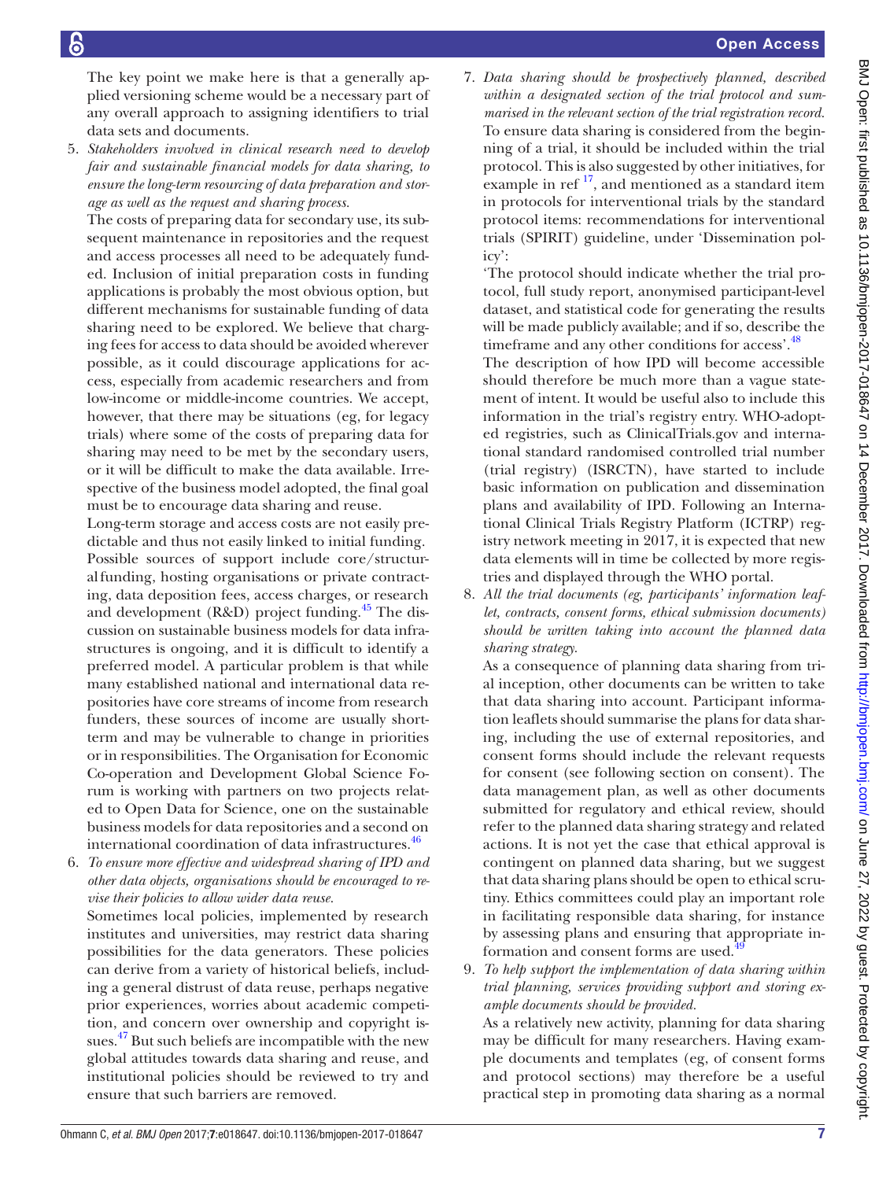The key point we make here is that a generally applied versioning scheme would be a necessary part of any overall approach to assigning identifiers to trial data sets and documents.

5. *Stakeholders involved in clinical research need to develop fair and sustainable financial models for data sharing, to ensure the long-term resourcing of data preparation and storage as well as the request and sharing process.*

The costs of preparing data for secondary use, its subsequent maintenance in repositories and the request and access processes all need to be adequately funded. Inclusion of initial preparation costs in funding applications is probably the most obvious option, but different mechanisms for sustainable funding of data sharing need to be explored. We believe that charging fees for access to data should be avoided wherever possible, as it could discourage applications for access, especially from academic researchers and from low-income or middle-income countries. We accept, however, that there may be situations (eg, for legacy trials) where some of the costs of preparing data for sharing may need to be met by the secondary users, or it will be difficult to make the data available. Irrespective of the business model adopted, the final goal must be to encourage data sharing and reuse.

Long-term storage and access costs are not easily predictable and thus not easily linked to initial funding. Possible sources of support include core/structuralfunding, hosting organisations or private contracting, data deposition fees, access charges, or research and development (R&D) project funding.<sup>45</sup> The discussion on sustainable business models for data infrastructures is ongoing, and it is difficult to identify a preferred model. A particular problem is that while many established national and international data repositories have core streams of income from research funders, these sources of income are usually shortterm and may be vulnerable to change in priorities or in responsibilities. The Organisation for Economic Co-operation and Development Global Science Forum is working with partners on two projects related to Open Data for Science, one on the sustainable business models for data repositories and a second on international coordination of data infrastructures.<sup>46</sup>

6. *To ensure more effective and widespread sharing of IPD and other data objects, organisations should be encouraged to revise their policies to allow wider data reuse.*

Sometimes local policies, implemented by research institutes and universities, may restrict data sharing possibilities for the data generators. These policies can derive from a variety of historical beliefs, including a general distrust of data reuse, perhaps negative prior experiences, worries about academic competition, and concern over ownership and copyright issues.<sup>47</sup> But such beliefs are incompatible with the new global attitudes towards data sharing and reuse, and institutional policies should be reviewed to try and ensure that such barriers are removed.

7. *Data sharing should be prospectively planned, described within a designated section of the trial protocol and summarised in the relevant section of the trial registration record.* To ensure data sharing is considered from the beginning of a trial, it should be included within the trial protocol. This is also suggested by other initiatives, for example in ref $^{17}$ , and mentioned as a standard item in protocols for interventional trials by the standard protocol items: recommendations for interventional trials (SPIRIT) guideline, under 'Dissemination policy':

'The protocol should indicate whether the trial protocol, full study report, anonymised participant-level dataset, and statistical code for generating the results will be made publicly available; and if so, describe the timeframe and any other conditions for access'.<sup>[48](#page-23-6)</sup>

The description of how IPD will become accessible should therefore be much more than a vague statement of intent. It would be useful also to include this information in the trial's registry entry. WHO-adopted registries, such as ClinicalTrials.gov and international standard randomised controlled trial number (trial registry) (ISRCTN), have started to include basic information on publication and dissemination plans and availability of IPD. Following an International Clinical Trials Registry Platform (ICTRP) registry network meeting in 2017, it is expected that new data elements will in time be collected by more registries and displayed through the WHO portal.

8. *All the trial documents (eg, participants' information leaflet, contracts, consent forms, ethical submission documents) should be written taking into account the planned data sharing strategy.*

As a consequence of planning data sharing from trial inception, other documents can be written to take that data sharing into account. Participant information leaflets should summarise the plans for data sharing, including the use of external repositories, and consent forms should include the relevant requests for consent (see following section on consent). The data management plan, as well as other documents submitted for regulatory and ethical review, should refer to the planned data sharing strategy and related actions. It is not yet the case that ethical approval is contingent on planned data sharing, but we suggest that data sharing plans should be open to ethical scrutiny. Ethics committees could play an important role in facilitating responsible data sharing, for instance by assessing plans and ensuring that appropriate information and consent forms are used.<sup>4</sup>

9. *To help support the implementation of data sharing within trial planning, services providing support and storing example documents should be provided.*

As a relatively new activity, planning for data sharing may be difficult for many researchers. Having example documents and templates (eg, of consent forms and protocol sections) may therefore be a useful practical step in promoting data sharing as a normal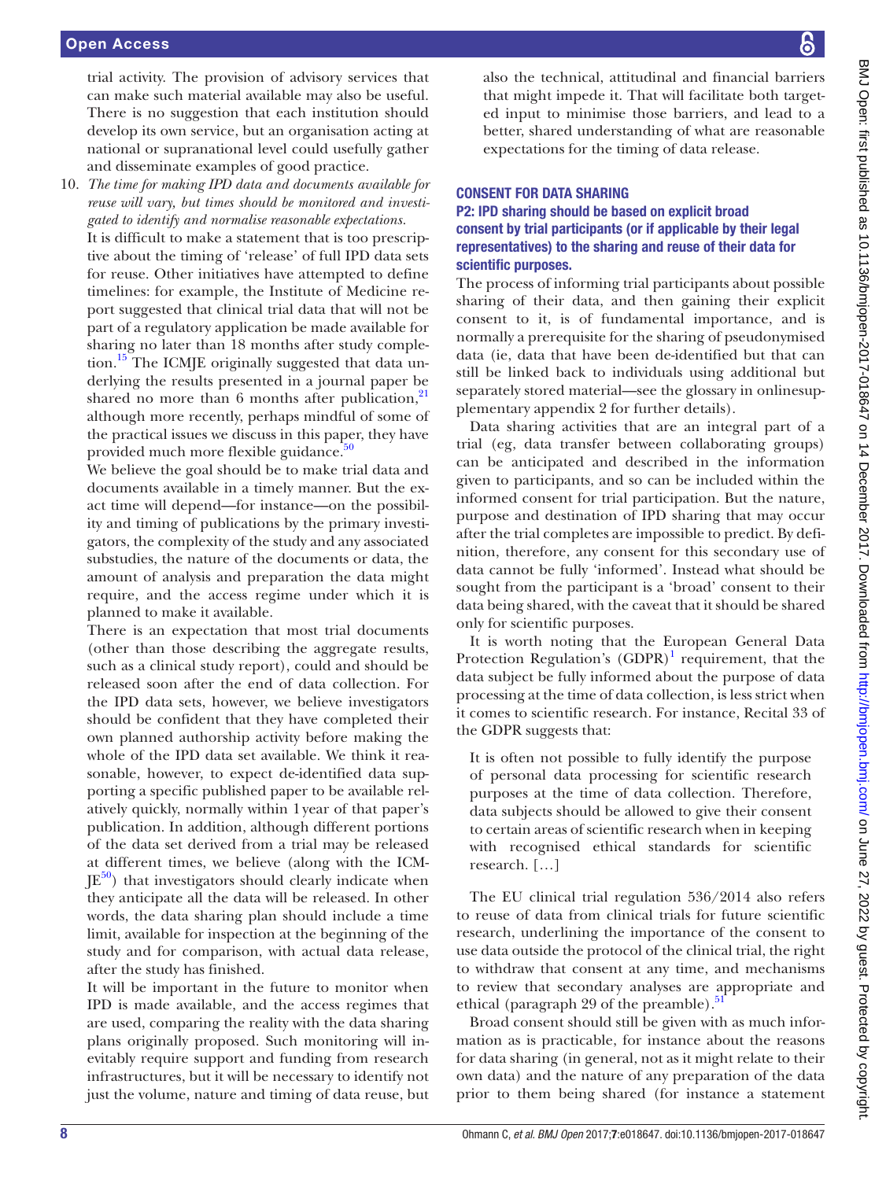trial activity. The provision of advisory services that can make such material available may also be useful. There is no suggestion that each institution should develop its own service, but an organisation acting at national or supranational level could usefully gather and disseminate examples of good practice.

10. *The time for making IPD data and documents available for reuse will vary, but times should be monitored and investigated to identify and normalise reasonable expectations.*

It is difficult to make a statement that is too prescriptive about the timing of 'release' of full IPD data sets for reuse. Other initiatives have attempted to define timelines: for example, the Institute of Medicine report suggested that clinical trial data that will not be part of a regulatory application be made available for sharing no later than 18 months after study completion.<sup>15</sup> The ICMJE originally suggested that data underlying the results presented in a journal paper be shared no more than 6 months after publication, $21$ although more recently, perhaps mindful of some of the practical issues we discuss in this paper, they have provided much more flexible guidance. $50$ 

We believe the goal should be to make trial data and documents available in a timely manner. But the exact time will depend—for instance—on the possibility and timing of publications by the primary investigators, the complexity of the study and any associated substudies, the nature of the documents or data, the amount of analysis and preparation the data might require, and the access regime under which it is planned to make it available.

There is an expectation that most trial documents (other than those describing the aggregate results, such as a clinical study report), could and should be released soon after the end of data collection. For the IPD data sets, however, we believe investigators should be confident that they have completed their own planned authorship activity before making the whole of the IPD data set available. We think it reasonable, however, to expect de-identified data supporting a specific published paper to be available relatively quickly, normally within 1year of that paper's publication. In addition, although different portions of the data set derived from a trial may be released at different times, we believe (along with the ICM- $\mathbb{E}^{50}$ ) that investigators should clearly indicate when they anticipate all the data will be released. In other words, the data sharing plan should include a time limit, available for inspection at the beginning of the study and for comparison, with actual data release, after the study has finished.

It will be important in the future to monitor when IPD is made available, and the access regimes that are used, comparing the reality with the data sharing plans originally proposed. Such monitoring will inevitably require support and funding from research infrastructures, but it will be necessary to identify not just the volume, nature and timing of data reuse, but

also the technical, attitudinal and financial barriers that might impede it. That will facilitate both targeted input to minimise those barriers, and lead to a better, shared understanding of what are reasonable expectations for the timing of data release.

#### Consent for data sharing

#### P2: IPD sharing should be based on explicit broad consent by trial participants (or if applicable by their legal representatives) to the sharing and reuse of their data for scientific purposes.

The process of informing trial participants about possible sharing of their data, and then gaining their explicit consent to it, is of fundamental importance, and is normally a prerequisite for the sharing of pseudonymised data (ie, data that have been de-identified but that can still be linked back to individuals using additional but separately stored material—see the glossary in onlin[esup](https://dx.doi.org/10.1136/bmjopen-2017-018647)[plementary appendix 2](https://dx.doi.org/10.1136/bmjopen-2017-018647) for further details).

Data sharing activities that are an integral part of a trial (eg, data transfer between collaborating groups) can be anticipated and described in the information given to participants, and so can be included within the informed consent for trial participation. But the nature, purpose and destination of IPD sharing that may occur after the trial completes are impossible to predict. By definition, therefore, any consent for this secondary use of data cannot be fully 'informed'. Instead what should be sought from the participant is a 'broad' consent to their data being shared, with the caveat that it should be shared only for scientific purposes.

It is worth noting that the European General Data Protection Regulation's  $(GDPR)^1$  $(GDPR)^1$  requirement, that the data subject be fully informed about the purpose of data processing at the time of data collection, is less strict when it comes to scientific research. For instance, Recital 33 of the GDPR suggests that:

It is often not possible to fully identify the purpose of personal data processing for scientific research purposes at the time of data collection. Therefore, data subjects should be allowed to give their consent to certain areas of scientific research when in keeping with recognised ethical standards for scientific research. […]

The EU clinical trial regulation 536/2014 also refers to reuse of data from clinical trials for future scientific research, underlining the importance of the consent to use data outside the protocol of the clinical trial, the right to withdraw that consent at any time, and mechanisms to review that secondary analyses are appropriate and ethical (paragraph 29 of the preamble). $5$ 

Broad consent should still be given with as much information as is practicable, for instance about the reasons for data sharing (in general, not as it might relate to their own data) and the nature of any preparation of the data prior to them being shared (for instance a statement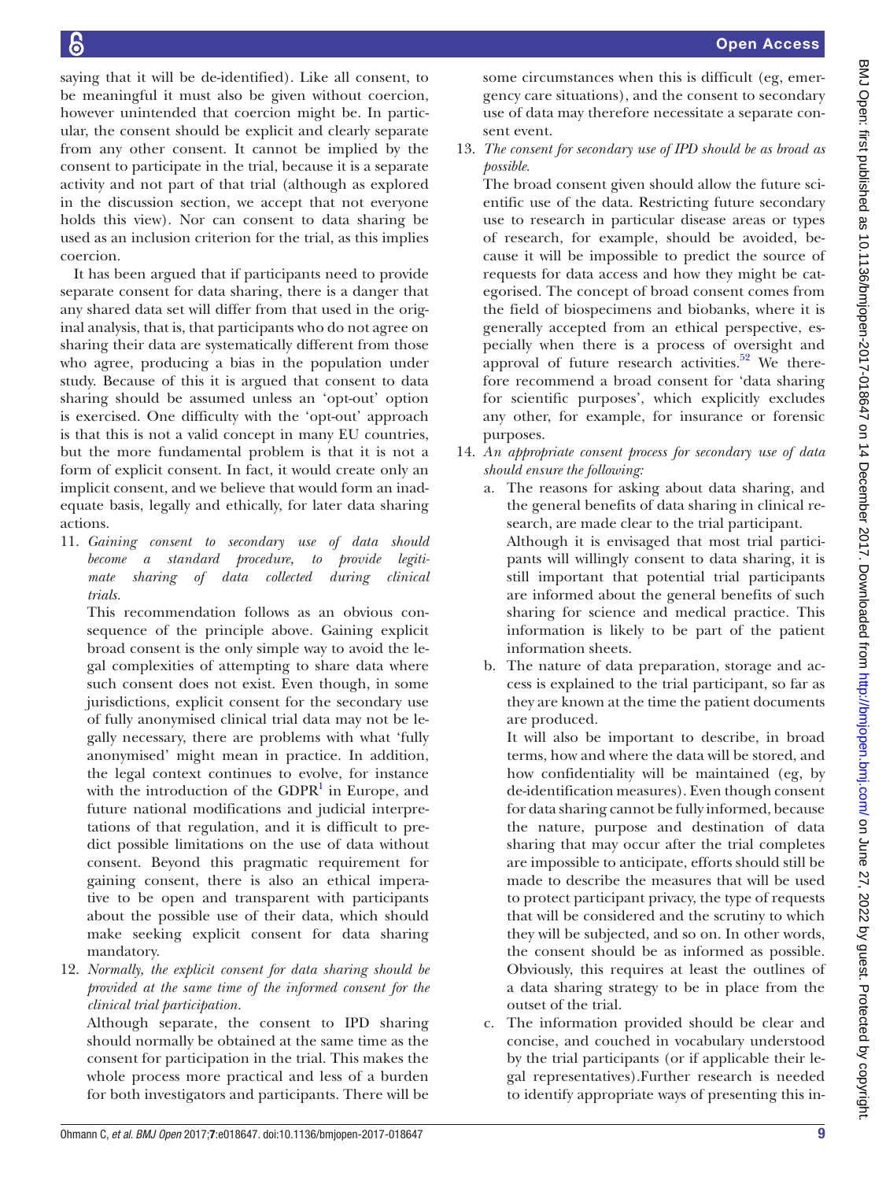saying that it will be de-identified). Like all consent, to be meaningful it must also be given without coercion, however unintended that coercion might be. In particular, the consent should be explicit and clearly separate from any other consent. It cannot be implied by the consent to participate in the trial, because it is a separate activity and not part of that trial (although as explored in the discussion section, we accept that not everyone holds this view). Nor can consent to data sharing be used as an inclusion criterion for the trial, as this implies coercion.

It has been argued that if participants need to provide separate consent for data sharing, there is a danger that any shared data set will differ from that used in the original analysis, that is, that participants who do not agree on sharing their data are systematically different from those who agree, producing a bias in the population under study. Because of this it is argued that consent to data sharing should be assumed unless an 'opt-out' option is exercised. One difficulty with the 'opt-out' approach is that this is not a valid concept in many EU countries, but the more fundamental problem is that it is not a form of explicit consent. In fact, it would create only an implicit consent, and we believe that would form an inadequate basis, legally and ethically, for later data sharing actions.

11. *Gaining consent to secondary use of data should become a standard procedure, to provide legitimate sharing of data collected during clinical trials.*

This recommendation follows as an obvious consequence of the principle above. Gaining explicit broad consent is the only simple way to avoid the legal complexities of attempting to share data where such consent does not exist. Even though, in some jurisdictions, explicit consent for the secondary use of fully anonymised clinical trial data may not be legally necessary, there are problems with what 'fully anonymised' might mean in practice. In addition, the legal context continues to evolve, for instance with the introduction of the  $GDPR<sup>1</sup>$  $GDPR<sup>1</sup>$  $GDPR<sup>1</sup>$  in Europe, and future national modifications and judicial interpretations of that regulation, and it is difficult to predict possible limitations on the use of data without consent. Beyond this pragmatic requirement for gaining consent, there is also an ethical imperative to be open and transparent with participants about the possible use of their data, which should make seeking explicit consent for data sharing mandatory.

12. *Normally, the explicit consent for data sharing should be provided at the same time of the informed consent for the clinical trial participation.*

Although separate, the consent to IPD sharing should normally be obtained at the same time as the consent for participation in the trial. This makes the whole process more practical and less of a burden for both investigators and participants. There will be

some circumstances when this is difficult (eg, emergency care situations), and the consent to secondary use of data may therefore necessitate a separate consent event.

### 13. *The consent for secondary use of IPD should be as broad as possible.*

The broad consent given should allow the future scientific use of the data. Restricting future secondary use to research in particular disease areas or types of research, for example, should be avoided, because it will be impossible to predict the source of requests for data access and how they might be categorised. The concept of broad consent comes from the field of biospecimens and biobanks, where it is generally accepted from an ethical perspective, especially when there is a process of oversight and approval of future research activities.<sup>52</sup> We therefore recommend a broad consent for 'data sharing for scientific purposes', which explicitly excludes any other, for example, for insurance or forensic purposes.

- 14. *An appropriate consent process for secondary use of data should ensure the following:*
	- a. The reasons for asking about data sharing, and the general benefits of data sharing in clinical research, are made clear to the trial participant. Although it is envisaged that most trial participants will willingly consent to data sharing, it is still important that potential trial participants are informed about the general benefits of such sharing for science and medical practice. This information is likely to be part of the patient information sheets.
	- b. The nature of data preparation, storage and access is explained to the trial participant, so far as they are known at the time the patient documents are produced.

It will also be important to describe, in broad terms, how and where the data will be stored, and how confidentiality will be maintained (eg, by de-identification measures). Even though consent for data sharing cannot be fully informed, because the nature, purpose and destination of data sharing that may occur after the trial completes are impossible to anticipate, efforts should still be made to describe the measures that will be used to protect participant privacy, the type of requests that will be considered and the scrutiny to which they will be subjected, and so on. In other words, the consent should be as informed as possible. Obviously, this requires at least the outlines of a data sharing strategy to be in place from the outset of the trial.

c. The information provided should be clear and concise, and couched in vocabulary understood by the trial participants (or if applicable their legal representatives).Further research is needed to identify appropriate ways of presenting this in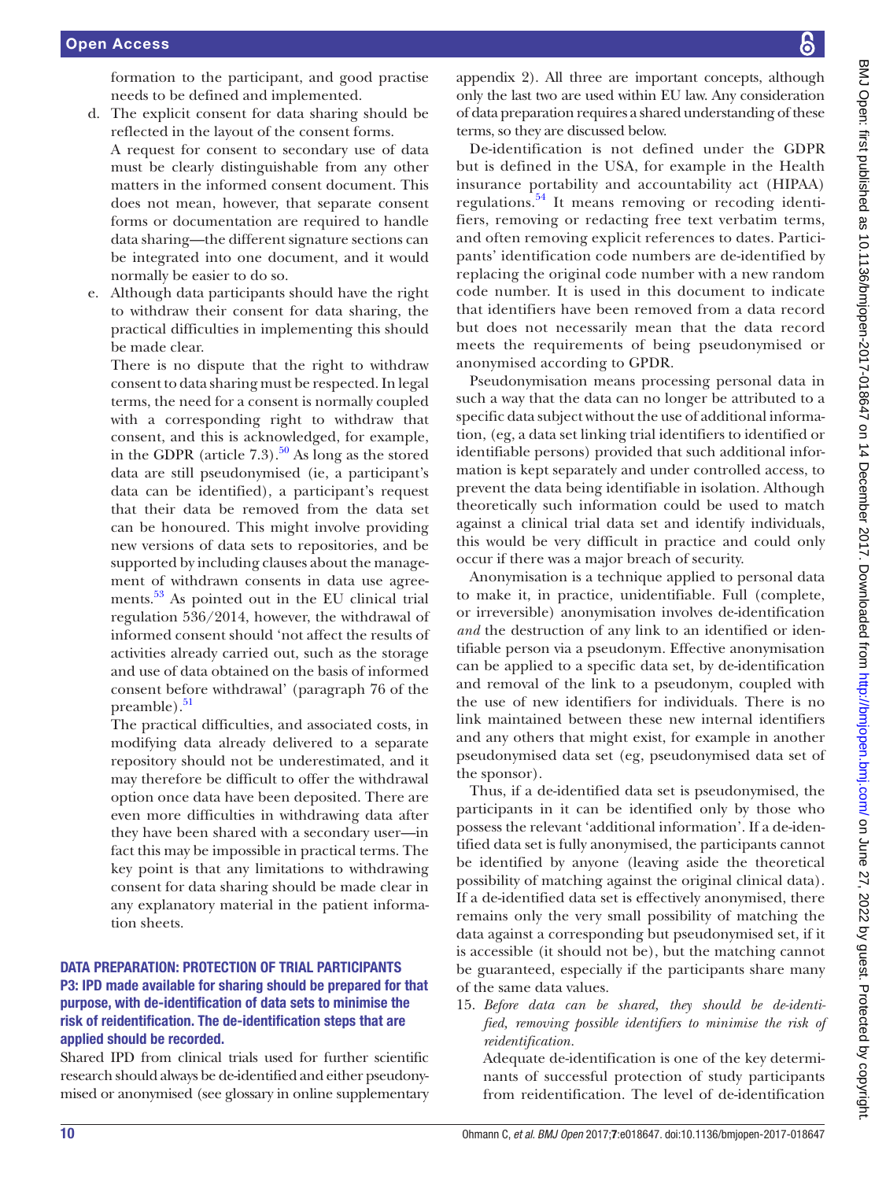formation to the participant, and good practise needs to be defined and implemented.

d. The explicit consent for data sharing should be reflected in the layout of the consent forms.

A request for consent to secondary use of data must be clearly distinguishable from any other matters in the informed consent document. This does not mean, however, that separate consent forms or documentation are required to handle data sharing—the different signature sections can be integrated into one document, and it would normally be easier to do so.

e. Although data participants should have the right to withdraw their consent for data sharing, the practical difficulties in implementing this should be made clear.

There is no dispute that the right to withdraw consent to data sharing must be respected. In legal terms, the need for a consent is normally coupled with a corresponding right to withdraw that consent, and this is acknowledged, for example, in the GDPR (article  $7.3$ ).<sup>50</sup> As long as the stored data are still pseudonymised (ie, a participant's data can be identified), a participant's request that their data be removed from the data set can be honoured. This might involve providing new versions of data sets to repositories, and be supported by including clauses about the management of withdrawn consents in data use agree-ments.<sup>[53](#page-23-11)</sup> As pointed out in the EU clinical trial regulation 536/2014, however, the withdrawal of informed consent should 'not affect the results of activities already carried out, such as the storage and use of data obtained on the basis of informed consent before withdrawal' (paragraph 76 of the  $p$ reamble). $51$ 

The practical difficulties, and associated costs, in modifying data already delivered to a separate repository should not be underestimated, and it may therefore be difficult to offer the withdrawal option once data have been deposited. There are even more difficulties in withdrawing data after they have been shared with a secondary user—in fact this may be impossible in practical terms. The key point is that any limitations to withdrawing consent for data sharing should be made clear in any explanatory material in the patient information sheets.

#### Data preparation: protection of trial participants P3: IPD made available for sharing should be prepared for that purpose, with de-identification of data sets to minimise the risk of reidentification. The de-identification steps that are applied should be recorded.

Shared IPD from clinical trials used for further scientific research should always be de-identified and either pseudonymised or anonymised (see glossary in online [supplementary](https://dx.doi.org/10.1136/bmjopen-2017-018647) [appendix 2\)](https://dx.doi.org/10.1136/bmjopen-2017-018647). All three are important concepts, although only the last two are used within EU law. Any consideration of data preparation requires a shared understanding of these terms, so they are discussed below.

De-identification is not defined under the GDPR but is defined in the USA, for example in the Health insurance portability and accountability act (HIPAA) regulations.[54](#page-23-12) It means removing or recoding identifiers, removing or redacting free text verbatim terms, and often removing explicit references to dates. Participants' identification code numbers are de-identified by replacing the original code number with a new random code number. It is used in this document to indicate that identifiers have been removed from a data record but does not necessarily mean that the data record meets the requirements of being pseudonymised or anonymised according to GPDR.

Pseudonymisation means processing personal data in such a way that the data can no longer be attributed to a specific data subject without the use of additional information, (eg, a data set linking trial identifiers to identified or identifiable persons) provided that such additional information is kept separately and under controlled access, to prevent the data being identifiable in isolation. Although theoretically such information could be used to match against a clinical trial data set and identify individuals, this would be very difficult in practice and could only occur if there was a major breach of security.

Anonymisation is a technique applied to personal data to make it, in practice, unidentifiable. Full (complete, or irreversible) anonymisation involves de-identification *and* the destruction of any link to an identified or identifiable person via a pseudonym. Effective anonymisation can be applied to a specific data set, by de-identification and removal of the link to a pseudonym, coupled with the use of new identifiers for individuals. There is no link maintained between these new internal identifiers and any others that might exist, for example in another pseudonymised data set (eg, pseudonymised data set of the sponsor).

Thus, if a de-identified data set is pseudonymised, the participants in it can be identified only by those who possess the relevant 'additional information'. If a de-identified data set is fully anonymised, the participants cannot be identified by anyone (leaving aside the theoretical possibility of matching against the original clinical data). If a de-identified data set is effectively anonymised, there remains only the very small possibility of matching the data against a corresponding but pseudonymised set, if it is accessible (it should not be), but the matching cannot be guaranteed, especially if the participants share many of the same data values.

15. *Before data can be shared, they should be de-identified, removing possible identifiers to minimise the risk of reidentification.*

Adequate de-identification is one of the key determinants of successful protection of study participants from reidentification. The level of de-identification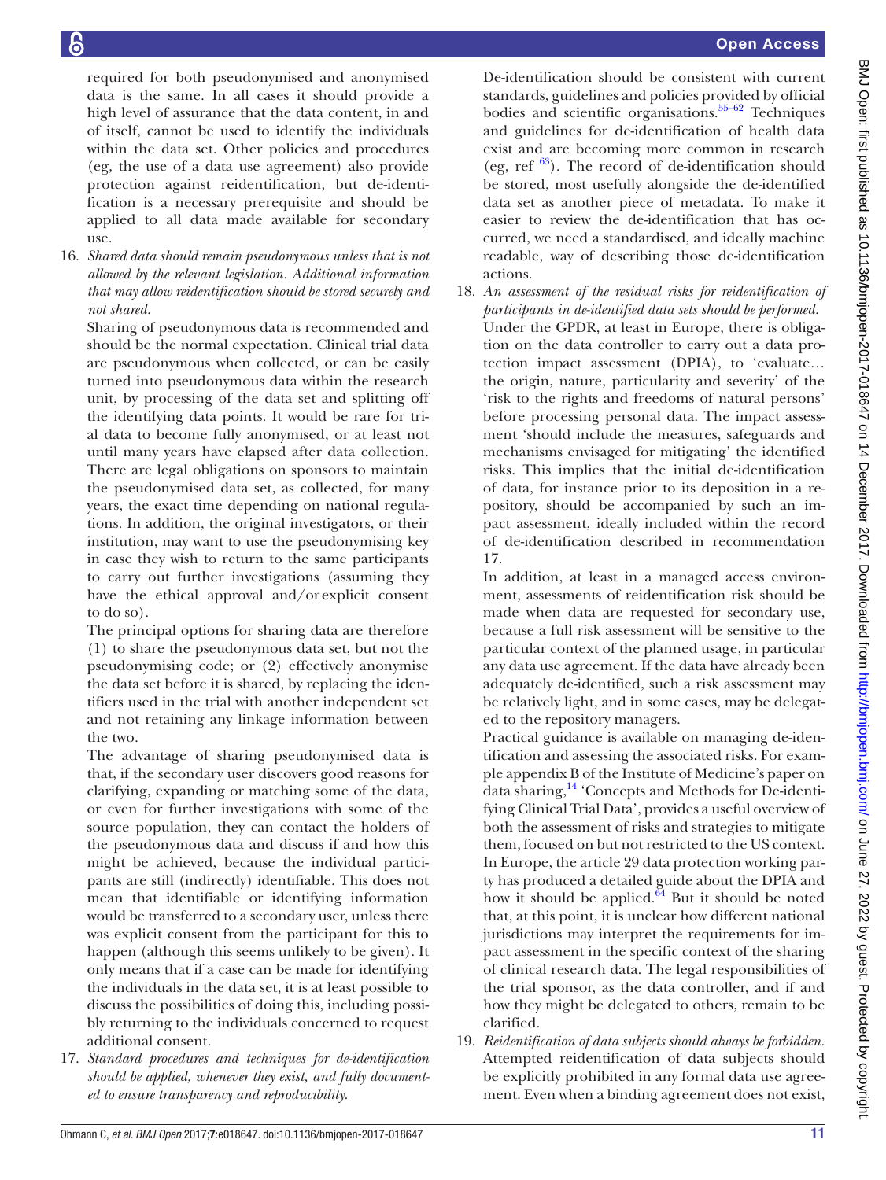required for both pseudonymised and anonymised data is the same. In all cases it should provide a high level of assurance that the data content, in and of itself, cannot be used to identify the individuals within the data set. Other policies and procedures (eg, the use of a data use agreement) also provide protection against reidentification, but de-identification is a necessary prerequisite and should be applied to all data made available for secondary use.

16. *Shared data should remain pseudonymous unless that is not allowed by the relevant legislation. Additional information that may allow reidentification should be stored securely and not shared.*

Sharing of pseudonymous data is recommended and should be the normal expectation. Clinical trial data are pseudonymous when collected, or can be easily turned into pseudonymous data within the research unit, by processing of the data set and splitting off the identifying data points. It would be rare for trial data to become fully anonymised, or at least not until many years have elapsed after data collection. There are legal obligations on sponsors to maintain the pseudonymised data set, as collected, for many years, the exact time depending on national regulations. In addition, the original investigators, or their institution, may want to use the pseudonymising key in case they wish to return to the same participants to carry out further investigations (assuming they have the ethical approval and/orexplicit consent to do so).

The principal options for sharing data are therefore (1) to share the pseudonymous data set, but not the pseudonymising code; or (2) effectively anonymise the data set before it is shared, by replacing the identifiers used in the trial with another independent set and not retaining any linkage information between the two.

The advantage of sharing pseudonymised data is that, if the secondary user discovers good reasons for clarifying, expanding or matching some of the data, or even for further investigations with some of the source population, they can contact the holders of the pseudonymous data and discuss if and how this might be achieved, because the individual participants are still (indirectly) identifiable. This does not mean that identifiable or identifying information would be transferred to a secondary user, unless there was explicit consent from the participant for this to happen (although this seems unlikely to be given). It only means that if a case can be made for identifying the individuals in the data set, it is at least possible to discuss the possibilities of doing this, including possibly returning to the individuals concerned to request additional consent.

17. *Standard procedures and techniques for de-identification should be applied, whenever they exist, and fully documented to ensure transparency and reproducibility.*

De-identification should be consistent with current standards, guidelines and policies provided by official bodies and scientific organisations.<sup>55-62</sup> Techniques and guidelines for de-identification of health data exist and are becoming more common in research (eg, ref  $63$ ). The record of de-identification should be stored, most usefully alongside the de-identified data set as another piece of metadata. To make it easier to review the de-identification that has occurred, we need a standardised, and ideally machine readable, way of describing those de-identification actions.

18. *An assessment of the residual risks for reidentification of participants in de-identified data sets should be performed.* Under the GPDR, at least in Europe, there is obligation on the data controller to carry out a data protection impact assessment (DPIA), to 'evaluate… the origin, nature, particularity and severity' of the 'risk to the rights and freedoms of natural persons' before processing personal data. The impact assessment 'should include the measures, safeguards and mechanisms envisaged for mitigating' the identified risks. This implies that the initial de-identification of data, for instance prior to its deposition in a repository, should be accompanied by such an impact assessment, ideally included within the record of de-identification described in recommendation 17.

In addition, at least in a managed access environment, assessments of reidentification risk should be made when data are requested for secondary use, because a full risk assessment will be sensitive to the particular context of the planned usage, in particular any data use agreement. If the data have already been adequately de-identified, such a risk assessment may be relatively light, and in some cases, may be delegated to the repository managers.

Practical guidance is available on managing de-identification and assessing the associated risks. For example appendix B of the Institute of Medicine's paper on data sharing, <sup>14</sup> 'Concepts and Methods for De-identifying Clinical Trial Data', provides a useful overview of both the assessment of risks and strategies to mitigate them, focused on but not restricted to the US context. In Europe, the article 29 data protection working party has produced a detailed guide about the DPIA and how it should be applied. $64$  But it should be noted that, at this point, it is unclear how different national jurisdictions may interpret the requirements for impact assessment in the specific context of the sharing of clinical research data. The legal responsibilities of the trial sponsor, as the data controller, and if and how they might be delegated to others, remain to be clarified.

19. *Reidentification of data subjects should always be forbidden.* Attempted reidentification of data subjects should be explicitly prohibited in any formal data use agreement. Even when a binding agreement does not exist,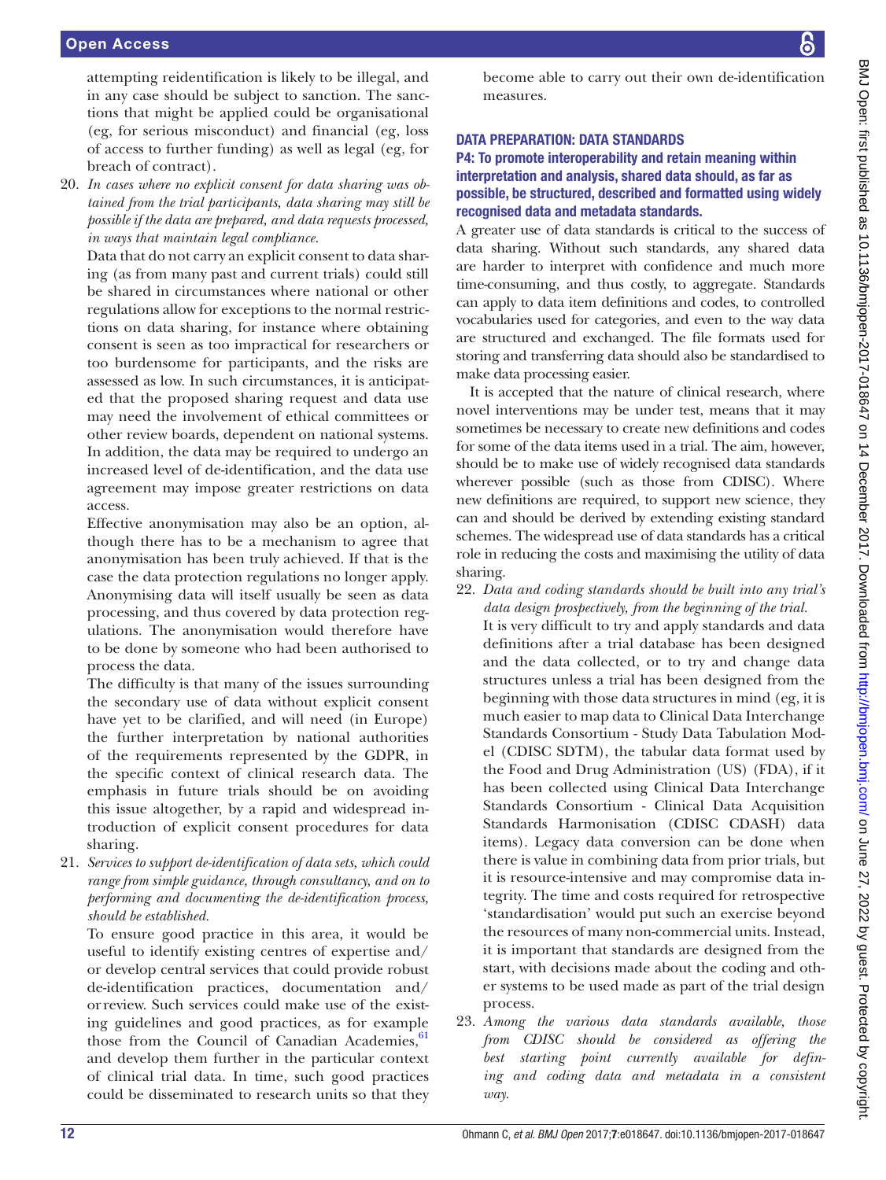attempting reidentification is likely to be illegal, and in any case should be subject to sanction. The sanctions that might be applied could be organisational (eg, for serious misconduct) and financial (eg, loss of access to further funding) as well as legal (eg, for breach of contract).

20. *In cases where no explicit consent for data sharing was obtained from the trial participants, data sharing may still be possible if the data are prepared, and data requests processed, in ways that maintain legal compliance.*

Data that do not carry an explicit consent to data sharing (as from many past and current trials) could still be shared in circumstances where national or other regulations allow for exceptions to the normal restrictions on data sharing, for instance where obtaining consent is seen as too impractical for researchers or too burdensome for participants, and the risks are assessed as low. In such circumstances, it is anticipated that the proposed sharing request and data use may need the involvement of ethical committees or other review boards, dependent on national systems. In addition, the data may be required to undergo an increased level of de-identification, and the data use agreement may impose greater restrictions on data access.

Effective anonymisation may also be an option, although there has to be a mechanism to agree that anonymisation has been truly achieved. If that is the case the data protection regulations no longer apply. Anonymising data will itself usually be seen as data processing, and thus covered by data protection regulations. The anonymisation would therefore have to be done by someone who had been authorised to process the data.

The difficulty is that many of the issues surrounding the secondary use of data without explicit consent have yet to be clarified, and will need (in Europe) the further interpretation by national authorities of the requirements represented by the GDPR, in the specific context of clinical research data. The emphasis in future trials should be on avoiding this issue altogether, by a rapid and widespread introduction of explicit consent procedures for data sharing.

21. *Services to support de-identification of data sets, which could range from simple guidance, through consultancy, and on to performing and documenting the de-identification process, should be established.*

To ensure good practice in this area, it would be useful to identify existing centres of expertise and/ or develop central services that could provide robust de-identification practices, documentation and/ or review. Such services could make use of the existing guidelines and good practices, as for example those from the Council of Canadian Academies, [61](#page-23-16) and develop them further in the particular context of clinical trial data. In time, such good practices could be disseminated to research units so that they become able to carry out their own de-identification measures.

#### Data preparation: data standards

P4: To promote interoperability and retain meaning within interpretation and analysis, shared data should, as far as possible, be structured, described and formatted using widely recognised data and metadata standards.

A greater use of data standards is critical to the success of data sharing. Without such standards, any shared data are harder to interpret with confidence and much more time-consuming, and thus costly, to aggregate. Standards can apply to data item definitions and codes, to controlled vocabularies used for categories, and even to the way data are structured and exchanged. The file formats used for storing and transferring data should also be standardised to make data processing easier.

It is accepted that the nature of clinical research, where novel interventions may be under test, means that it may sometimes be necessary to create new definitions and codes for some of the data items used in a trial. The aim, however, should be to make use of widely recognised data standards wherever possible (such as those from CDISC). Where new definitions are required, to support new science, they can and should be derived by extending existing standard schemes. The widespread use of data standards has a critical role in reducing the costs and maximising the utility of data sharing.

22. *Data and coding standards should be built into any trial's data design prospectively, from the beginning of the trial.*

It is very difficult to try and apply standards and data definitions after a trial database has been designed and the data collected, or to try and change data structures unless a trial has been designed from the beginning with those data structures in mind (eg, it is much easier to map data to Clinical Data Interchange Standards Consortium - Study Data Tabulation Model (CDISC SDTM), the tabular data format used by the Food and Drug Administration (US) (FDA), if it has been collected using Clinical Data Interchange Standards Consortium - Clinical Data Acquisition Standards Harmonisation (CDISC CDASH) data items). Legacy data conversion can be done when there is value in combining data from prior trials, but it is resource-intensive and may compromise data integrity. The time and costs required for retrospective 'standardisation' would put such an exercise beyond the resources of many non-commercial units. Instead, it is important that standards are designed from the start, with decisions made about the coding and other systems to be used made as part of the trial design process.

23. *Among the various data standards available, those from CDISC should be considered as offering the best starting point currently available for defining and coding data and metadata in a consistent way.*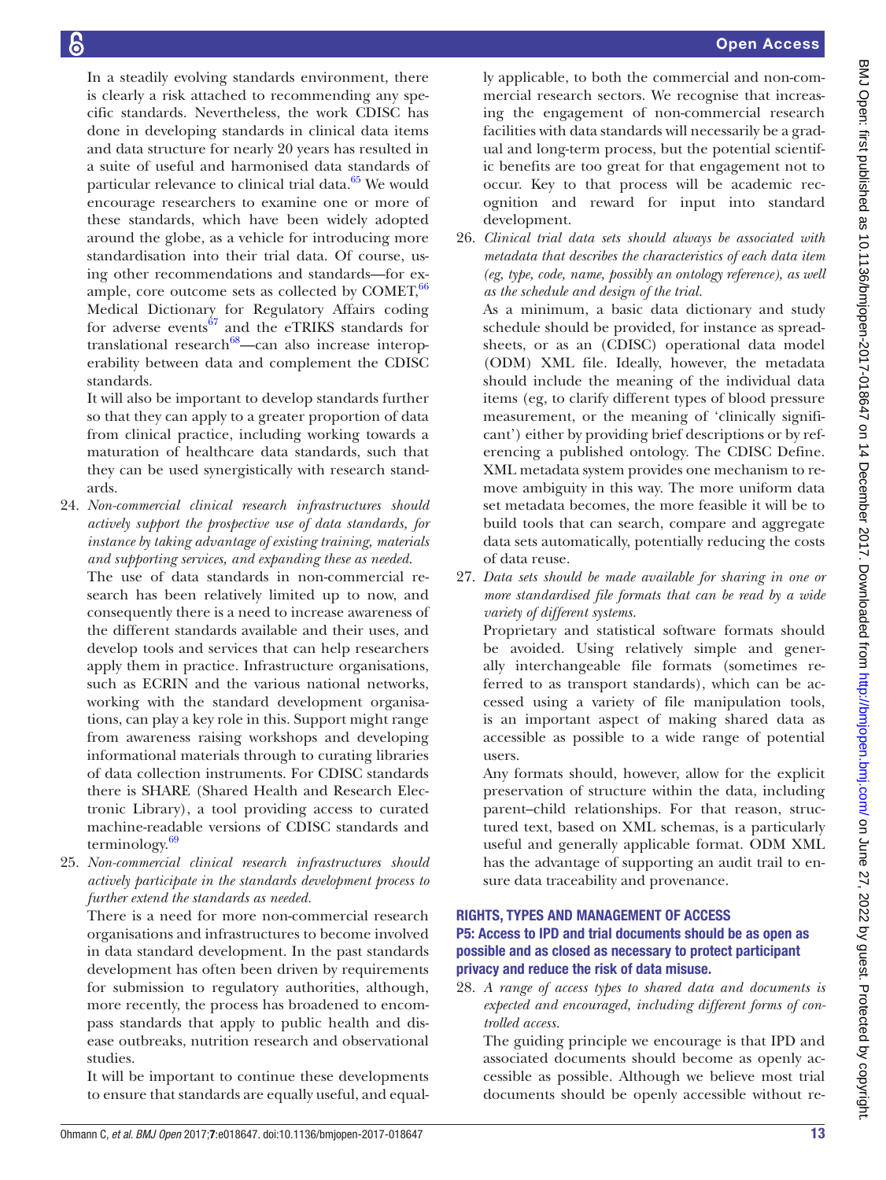In a steadily evolving standards environment, there is clearly a risk attached to recommending any specific standards. Nevertheless, the work CDISC has done in developing standards in clinical data items and data structure for nearly 20 years has resulted in a suite of useful and harmonised data standards of particular relevance to clinical trial data.<sup>65</sup> We would encourage researchers to examine one or more of these standards, which have been widely adopted around the globe, as a vehicle for introducing more standardisation into their trial data. Of course, using other recommendations and standards—for example, core outcome sets as collected by COMET, $66$ Medical Dictionary for Regulatory Affairs coding for adverse events $67$  and the eTRIKS standards for translational research $68$ —can also increase interoperability between data and complement the CDISC standards.

It will also be important to develop standards further so that they can apply to a greater proportion of data from clinical practice, including working towards a maturation of healthcare data standards, such that they can be used synergistically with research standards.

24. *Non-commercial clinical research infrastructures should actively support the prospective use of data standards, for instance by taking advantage of existing training, materials and supporting services, and expanding these as needed.*

The use of data standards in non-commercial research has been relatively limited up to now, and consequently there is a need to increase awareness of the different standards available and their uses, and develop tools and services that can help researchers apply them in practice. Infrastructure organisations, such as ECRIN and the various national networks, working with the standard development organisations, can play a key role in this. Support might range from awareness raising workshops and developing informational materials through to curating libraries of data collection instruments. For CDISC standards there is SHARE (Shared Health and Research Electronic Library), a tool providing access to curated machine-readable versions of CDISC standards and  $terminology.<sup>69</sup>$ 

25. *Non-commercial clinical research infrastructures should actively participate in the standards development process to further extend the standards as needed.*

There is a need for more non-commercial research organisations and infrastructures to become involved in data standard development. In the past standards development has often been driven by requirements for submission to regulatory authorities, although, more recently, the process has broadened to encompass standards that apply to public health and disease outbreaks, nutrition research and observational studies.

It will be important to continue these developments to ensure that standards are equally useful, and equally applicable, to both the commercial and non-commercial research sectors. We recognise that increasing the engagement of non-commercial research facilities with data standards will necessarily be a gradual and long-term process, but the potential scientific benefits are too great for that engagement not to occur. Key to that process will be academic recognition and reward for input into standard development.

26. *Clinical trial data sets should always be associated with metadata that describes the characteristics of each data item (eg, type, code, name, possibly an ontology reference), as well as the schedule and design of the trial.*

As a minimum, a basic data dictionary and study schedule should be provided, for instance as spreadsheets, or as an (CDISC) operational data model (ODM) XML file. Ideally, however, the metadata should include the meaning of the individual data items (eg, to clarify different types of blood pressure measurement, or the meaning of 'clinically significant') either by providing brief descriptions or by referencing a published ontology. The CDISC Define. XML metadata system provides one mechanism to remove ambiguity in this way. The more uniform data set metadata becomes, the more feasible it will be to build tools that can search, compare and aggregate data sets automatically, potentially reducing the costs of data reuse.

27. *Data sets should be made available for sharing in one or more standardised file formats that can be read by a wide variety of different systems.*

Proprietary and statistical software formats should be avoided. Using relatively simple and generally interchangeable file formats (sometimes referred to as transport standards), which can be accessed using a variety of file manipulation tools, is an important aspect of making shared data as accessible as possible to a wide range of potential users.

Any formats should, however, allow for the explicit preservation of structure within the data, including parent–child relationships. For that reason, structured text, based on XML schemas, is a particularly useful and generally applicable format. ODM XML has the advantage of supporting an audit trail to ensure data traceability and provenance.

#### Rights, types and management of access P5: Access to IPD and trial documents should be as open as possible and as closed as necessary to protect participant privacy and reduce the risk of data misuse.

28. *A range of access types to shared data and documents is expected and encouraged, including different forms of controlled access.*

The guiding principle we encourage is that IPD and associated documents should become as openly accessible as possible. Although we believe most trial documents should be openly accessible without re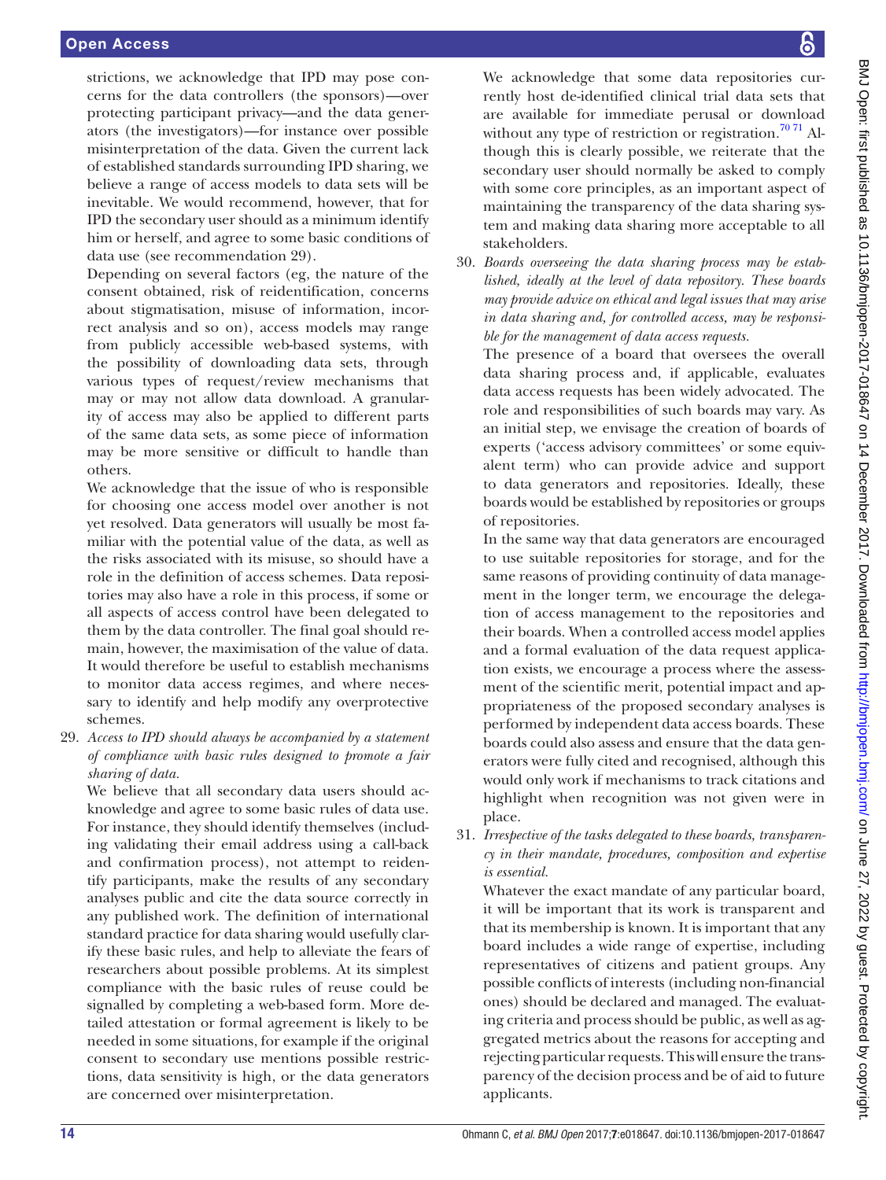strictions, we acknowledge that IPD may pose concerns for the data controllers (the sponsors)—over protecting participant privacy—and the data generators (the investigators)—for instance over possible misinterpretation of the data. Given the current lack of established standards surrounding IPD sharing, we believe a range of access models to data sets will be inevitable. We would recommend, however, that for IPD the secondary user should as a minimum identify him or herself, and agree to some basic conditions of data use (see recommendation 29).

Depending on several factors (eg, the nature of the consent obtained, risk of reidentification, concerns about stigmatisation, misuse of information, incorrect analysis and so on), access models may range from publicly accessible web-based systems, with the possibility of downloading data sets, through various types of request/review mechanisms that may or may not allow data download. A granularity of access may also be applied to different parts of the same data sets, as some piece of information may be more sensitive or difficult to handle than others.

We acknowledge that the issue of who is responsible for choosing one access model over another is not yet resolved. Data generators will usually be most familiar with the potential value of the data, as well as the risks associated with its misuse, so should have a role in the definition of access schemes. Data repositories may also have a role in this process, if some or all aspects of access control have been delegated to them by the data controller. The final goal should remain, however, the maximisation of the value of data. It would therefore be useful to establish mechanisms to monitor data access regimes, and where necessary to identify and help modify any overprotective schemes.

29. *Access to IPD should always be accompanied by a statement of compliance with basic rules designed to promote a fair sharing of data.*

We believe that all secondary data users should acknowledge and agree to some basic rules of data use. For instance, they should identify themselves (including validating their email address using a call-back and confirmation process), not attempt to reidentify participants, make the results of any secondary analyses public and cite the data source correctly in any published work. The definition of international standard practice for data sharing would usefully clarify these basic rules, and help to alleviate the fears of researchers about possible problems. At its simplest compliance with the basic rules of reuse could be signalled by completing a web-based form. More detailed attestation or formal agreement is likely to be needed in some situations, for example if the original consent to secondary use mentions possible restrictions, data sensitivity is high, or the data generators are concerned over misinterpretation.

We acknowledge that some data repositories currently host de-identified clinical trial data sets that are available for immediate perusal or download without any type of restriction or registration.<sup>[70 71](#page-23-22)</sup> Although this is clearly possible, we reiterate that the secondary user should normally be asked to comply with some core principles, as an important aspect of maintaining the transparency of the data sharing system and making data sharing more acceptable to all stakeholders.

30. *Boards overseeing the data sharing process may be established, ideally at the level of data repository. These boards may provide advice on ethical and legal issues that may arise in data sharing and, for controlled access, may be responsible for the management of data access requests.*

The presence of a board that oversees the overall data sharing process and, if applicable, evaluates data access requests has been widely advocated. The role and responsibilities of such boards may vary. As an initial step, we envisage the creation of boards of experts ('access advisory committees' or some equivalent term) who can provide advice and support to data generators and repositories. Ideally, these boards would be established by repositories or groups of repositories.

In the same way that data generators are encouraged to use suitable repositories for storage, and for the same reasons of providing continuity of data management in the longer term, we encourage the delegation of access management to the repositories and their boards. When a controlled access model applies and a formal evaluation of the data request application exists, we encourage a process where the assessment of the scientific merit, potential impact and appropriateness of the proposed secondary analyses is performed by independent data access boards. These boards could also assess and ensure that the data generators were fully cited and recognised, although this would only work if mechanisms to track citations and highlight when recognition was not given were in place.

31. *Irrespective of the tasks delegated to these boards, transparency in their mandate, procedures, composition and expertise is essential.*

Whatever the exact mandate of any particular board, it will be important that its work is transparent and that its membership is known. It is important that any board includes a wide range of expertise, including representatives of citizens and patient groups. Any possible conflicts of interests (including non-financial ones) should be declared and managed. The evaluating criteria and process should be public, as well as aggregated metrics about the reasons for accepting and rejecting particular requests. This will ensure the transparency of the decision process and be of aid to future applicants.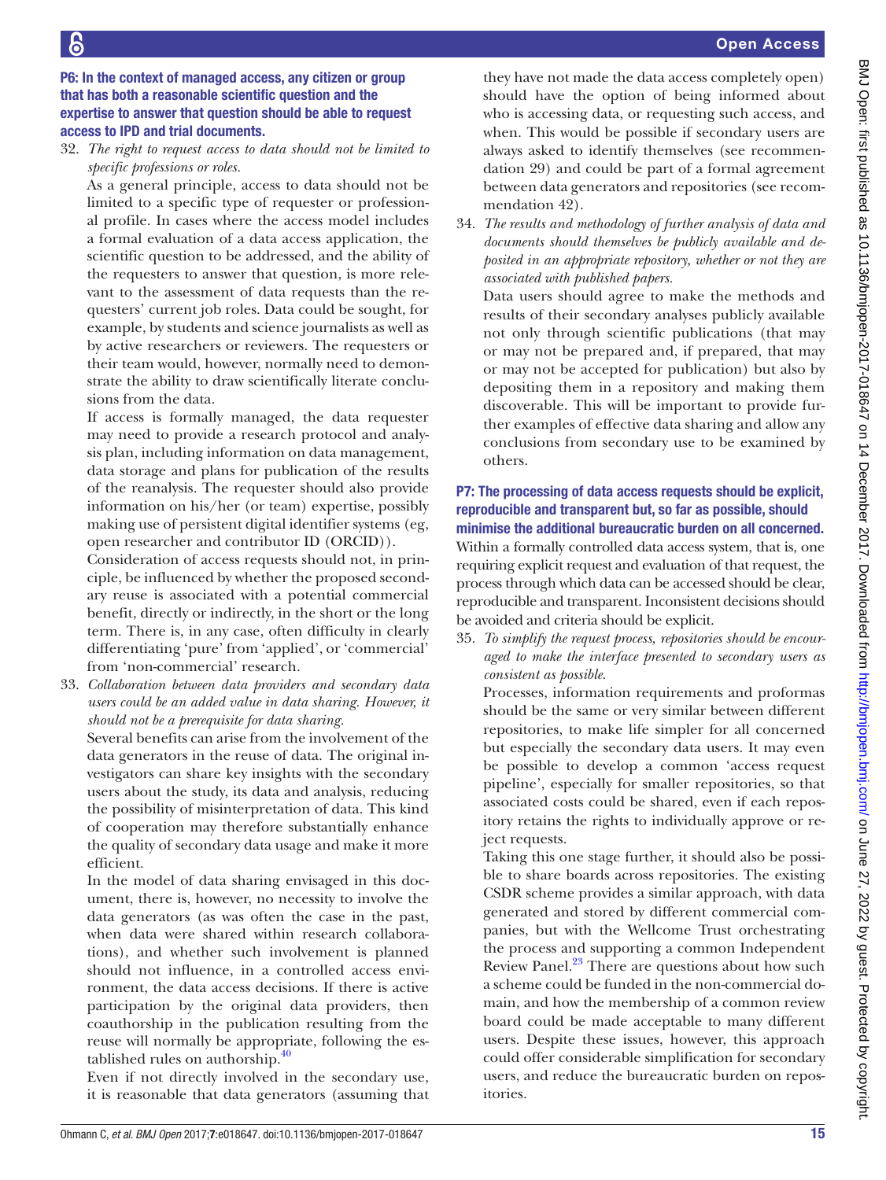P6: In the context of managed access, any citizen or group that has both a reasonable scientific question and the expertise to answer that question should be able to request access to IPD and trial documents.

32. *The right to request access to data should not be limited to specific professions or roles.*

As a general principle, access to data should not be limited to a specific type of requester or professional profile. In cases where the access model includes a formal evaluation of a data access application, the scientific question to be addressed, and the ability of the requesters to answer that question, is more relevant to the assessment of data requests than the requesters' current job roles. Data could be sought, for example, by students and science journalists as well as by active researchers or reviewers. The requesters or their team would, however, normally need to demonstrate the ability to draw scientifically literate conclusions from the data.

If access is formally managed, the data requester may need to provide a research protocol and analysis plan, including information on data management, data storage and plans for publication of the results of the reanalysis. The requester should also provide information on his/her (or team) expertise, possibly making use of persistent digital identifier systems (eg, open researcher and contributor ID (ORCID)).

Consideration of access requests should not, in principle, be influenced by whether the proposed secondary reuse is associated with a potential commercial benefit, directly or indirectly, in the short or the long term. There is, in any case, often difficulty in clearly differentiating 'pure' from 'applied', or 'commercial' from 'non-commercial' research.

33. *Collaboration between data providers and secondary data users could be an added value in data sharing. However, it should not be a prerequisite for data sharing.*

Several benefits can arise from the involvement of the data generators in the reuse of data. The original investigators can share key insights with the secondary users about the study, its data and analysis, reducing the possibility of misinterpretation of data. This kind of cooperation may therefore substantially enhance the quality of secondary data usage and make it more efficient.

In the model of data sharing envisaged in this document, there is, however, no necessity to involve the data generators (as was often the case in the past, when data were shared within research collaborations), and whether such involvement is planned should not influence, in a controlled access environment, the data access decisions. If there is active participation by the original data providers, then coauthorship in the publication resulting from the reuse will normally be appropriate, following the established rules on authorship. $40$ 

Even if not directly involved in the secondary use, it is reasonable that data generators (assuming that

they have not made the data access completely open) should have the option of being informed about who is accessing data, or requesting such access, and when. This would be possible if secondary users are always asked to identify themselves (see recommendation 29) and could be part of a formal agreement between data generators and repositories (see recommendation 42).

34. *The results and methodology of further analysis of data and documents should themselves be publicly available and deposited in an appropriate repository, whether or not they are associated with published papers.*

Data users should agree to make the methods and results of their secondary analyses publicly available not only through scientific publications (that may or may not be prepared and, if prepared, that may or may not be accepted for publication) but also by depositing them in a repository and making them discoverable. This will be important to provide further examples of effective data sharing and allow any conclusions from secondary use to be examined by others.

#### P7: The processing of data access requests should be explicit, reproducible and transparent but, so far as possible, should minimise the additional bureaucratic burden on all concerned.

Within a formally controlled data access system, that is, one requiring explicit request and evaluation of that request, the process through which data can be accessed should be clear, reproducible and transparent. Inconsistent decisions should be avoided and criteria should be explicit.

35. *To simplify the request process, repositories should be encouraged to make the interface presented to secondary users as consistent as possible.*

Processes, information requirements and proformas should be the same or very similar between different repositories, to make life simpler for all concerned but especially the secondary data users. It may even be possible to develop a common 'access request pipeline', especially for smaller repositories, so that associated costs could be shared, even if each repository retains the rights to individually approve or reject requests.

Taking this one stage further, it should also be possible to share boards across repositories. The existing CSDR scheme provides a similar approach, with data generated and stored by different commercial companies, but with the Wellcome Trust orchestrating the process and supporting a common Independent Review Panel.<sup>23</sup> There are questions about how such a scheme could be funded in the non-commercial domain, and how the membership of a common review board could be made acceptable to many different users. Despite these issues, however, this approach could offer considerable simplification for secondary users, and reduce the bureaucratic burden on repositories.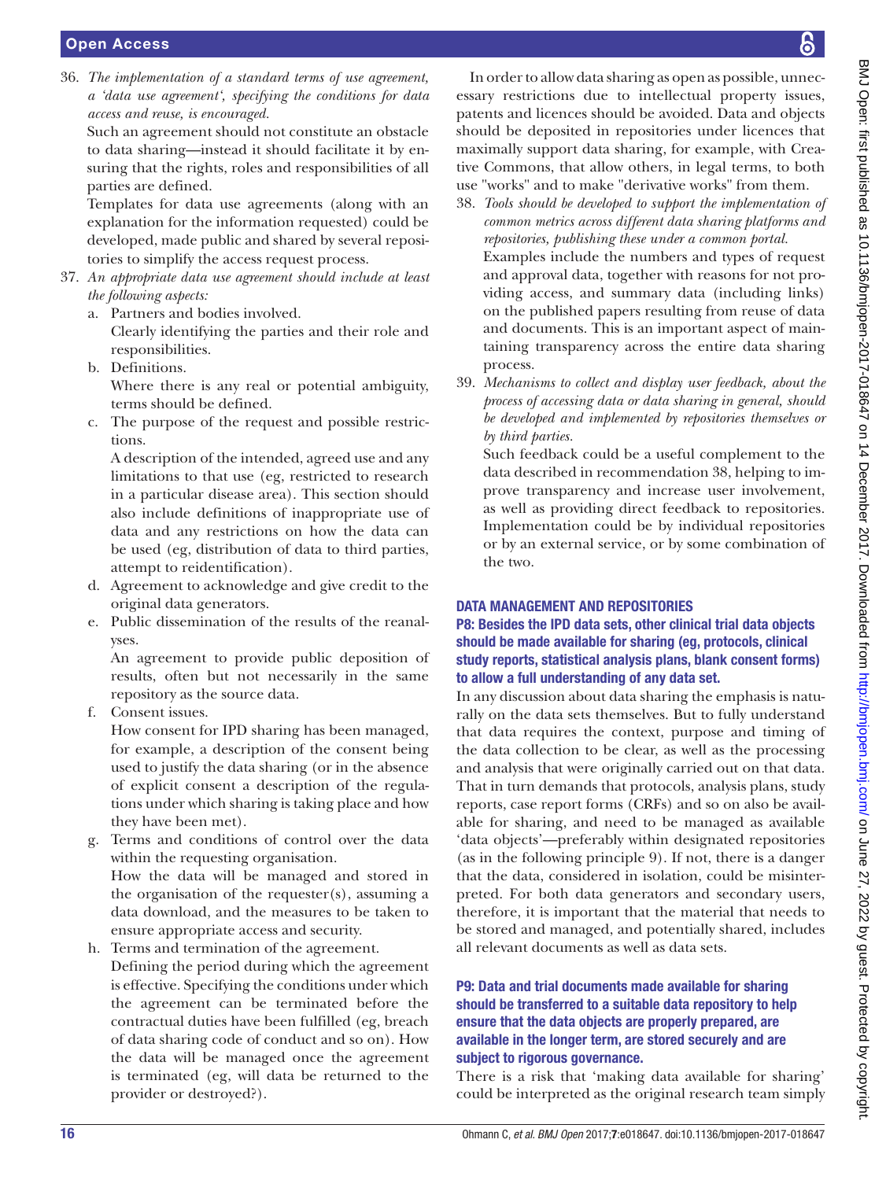36. *The implementation of a standard terms of use agreement, a 'data use agreement', specifying the conditions for data access and reuse, is encouraged.*

Such an agreement should not constitute an obstacle to data sharing—instead it should facilitate it by ensuring that the rights, roles and responsibilities of all parties are defined.

Templates for data use agreements (along with an explanation for the information requested) could be developed, made public and shared by several repositories to simplify the access request process.

- 37. *An appropriate data use agreement should include at least the following aspects:*
	- a. Partners and bodies involved.

Clearly identifying the parties and their role and responsibilities.

- b. Definitions. Where there is any real or potential ambiguity, terms should be defined.
- c. The purpose of the request and possible restrictions.

A description of the intended, agreed use and any limitations to that use (eg, restricted to research in a particular disease area). This section should also include definitions of inappropriate use of data and any restrictions on how the data can be used (eg, distribution of data to third parties, attempt to reidentification).

- d. Agreement to acknowledge and give credit to the original data generators.
- e. Public dissemination of the results of the reanalyses.

An agreement to provide public deposition of results, often but not necessarily in the same repository as the source data.

f. Consent issues.

How consent for IPD sharing has been managed, for example, a description of the consent being used to justify the data sharing (or in the absence of explicit consent a description of the regulations under which sharing is taking place and how they have been met).

- g. Terms and conditions of control over the data within the requesting organisation. How the data will be managed and stored in the organisation of the requester(s), assuming a data download, and the measures to be taken to ensure appropriate access and security.
- h. Terms and termination of the agreement.

Defining the period during which the agreement is effective. Specifying the conditions under which the agreement can be terminated before the contractual duties have been fulfilled (eg, breach of data sharing code of conduct and so on). How the data will be managed once the agreement is terminated (eg, will data be returned to the provider or destroyed?).

In order to allow data sharing as open as possible, unnecessary restrictions due to intellectual property issues, patents and licences should be avoided. Data and objects should be deposited in repositories under licences that maximally support data sharing, for example, with Creative Commons, that allow others, in legal terms, to both use "works" and to make "derivative works" from them.

- 38. *Tools should be developed to support the implementation of common metrics across different data sharing platforms and repositories, publishing these under a common portal.* Examples include the numbers and types of request and approval data, together with reasons for not providing access, and summary data (including links) on the published papers resulting from reuse of data and documents. This is an important aspect of maintaining transparency across the entire data sharing process.
- 39. *Mechanisms to collect and display user feedback, about the process of accessing data or data sharing in general, should be developed and implemented by repositories themselves or by third parties.*

Such feedback could be a useful complement to the data described in recommendation 38, helping to improve transparency and increase user involvement, as well as providing direct feedback to repositories. Implementation could be by individual repositories or by an external service, or by some combination of the two.

#### Data management and repositories

#### P8: Besides the IPD data sets, other clinical trial data objects should be made available for sharing (eg, protocols, clinical study reports, statistical analysis plans, blank consent forms) to allow a full understanding of any data set.

In any discussion about data sharing the emphasis is naturally on the data sets themselves. But to fully understand that data requires the context, purpose and timing of the data collection to be clear, as well as the processing and analysis that were originally carried out on that data. That in turn demands that protocols, analysis plans, study reports, case report forms (CRFs) and so on also be available for sharing, and need to be managed as available 'data objects'—preferably within designated repositories (as in the following principle 9). If not, there is a danger that the data, considered in isolation, could be misinterpreted. For both data generators and secondary users, therefore, it is important that the material that needs to be stored and managed, and potentially shared, includes all relevant documents as well as data sets.

#### P9: Data and trial documents made available for sharing should be transferred to a suitable data repository to help ensure that the data objects are properly prepared, are available in the longer term, are stored securely and are subject to rigorous governance.

There is a risk that 'making data available for sharing' could be interpreted as the original research team simply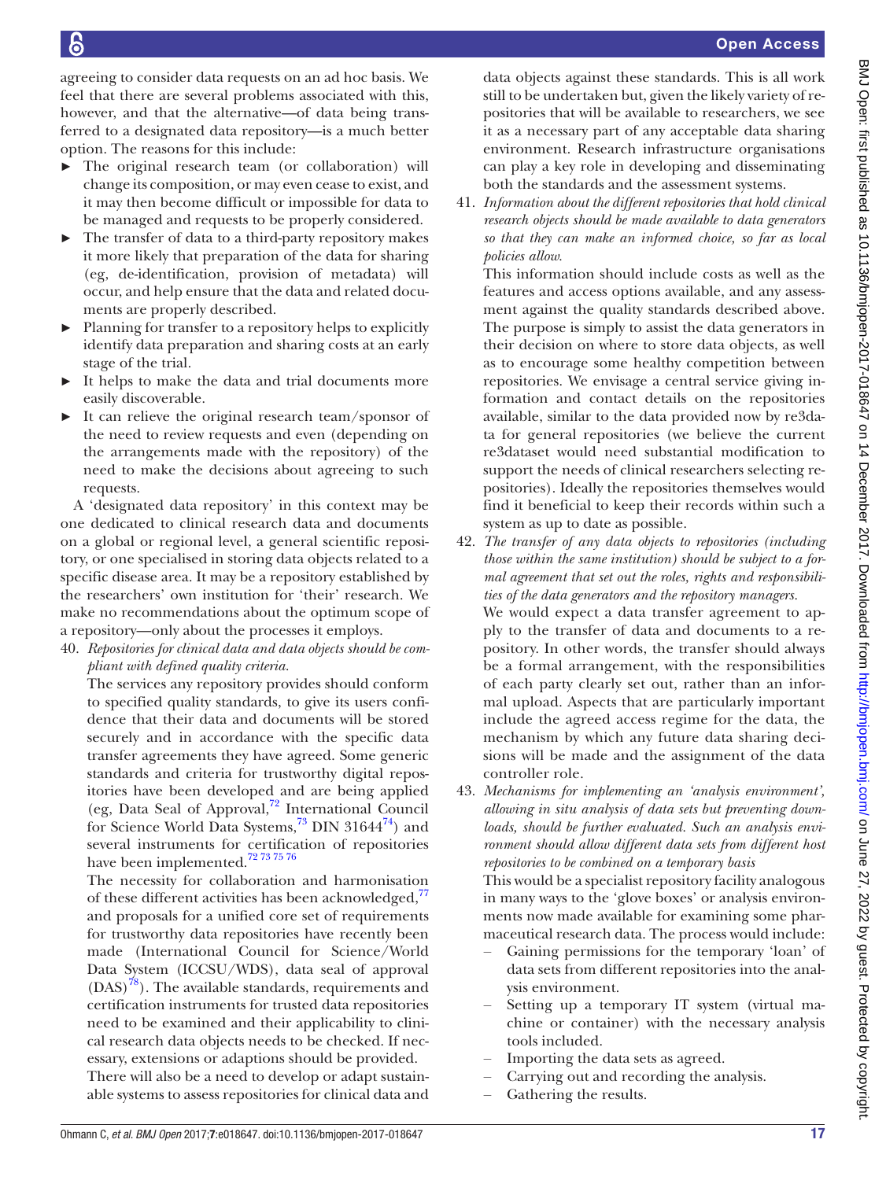agreeing to consider data requests on an ad hoc basis. We feel that there are several problems associated with this, however, and that the alternative—of data being transferred to a designated data repository—is a much better option. The reasons for this include:

- ► The original research team (or collaboration) will change its composition, or may even cease to exist, and it may then become difficult or impossible for data to be managed and requests to be properly considered.
- The transfer of data to a third-party repository makes it more likely that preparation of the data for sharing (eg, de-identification, provision of metadata) will occur, and help ensure that the data and related documents are properly described.
- Planning for transfer to a repository helps to explicitly identify data preparation and sharing costs at an early stage of the trial.
- ► It helps to make the data and trial documents more easily discoverable.
- ► It can relieve the original research team/sponsor of the need to review requests and even (depending on the arrangements made with the repository) of the need to make the decisions about agreeing to such requests.

A 'designated data repository' in this context may be one dedicated to clinical research data and documents on a global or regional level, a general scientific repository, or one specialised in storing data objects related to a specific disease area. It may be a repository established by the researchers' own institution for 'their' research. We make no recommendations about the optimum scope of a repository—only about the processes it employs.

40. *Repositories for clinical data and data objects should be compliant with defined quality criteria.*

The services any repository provides should conform to specified quality standards, to give its users confidence that their data and documents will be stored securely and in accordance with the specific data transfer agreements they have agreed. Some generic standards and criteria for trustworthy digital repositories have been developed and are being applied (eg, Data Seal of Approval, $^{72}$  International Council for Science World Data Systems,  $^{73}$  DIN 31644 $^{74}$ ) and several instruments for certification of repositories have been implemented.<sup>72 73</sup> 75 76

The necessity for collaboration and harmonisation of these different activities has been acknowledged, $\frac{77}{2}$ and proposals for a unified core set of requirements for trustworthy data repositories have recently been made (International Council for Science/World Data System (ICCSU/WDS), data seal of approval  $(DAS)<sup>78</sup>$  $(DAS)<sup>78</sup>$  $(DAS)<sup>78</sup>$ . The available standards, requirements and certification instruments for trusted data repositories need to be examined and their applicability to clinical research data objects needs to be checked. If necessary, extensions or adaptions should be provided.

There will also be a need to develop or adapt sustainable systems to assess repositories for clinical data and data objects against these standards. This is all work still to be undertaken but, given the likely variety of repositories that will be available to researchers, we see it as a necessary part of any acceptable data sharing environment. Research infrastructure organisations can play a key role in developing and disseminating both the standards and the assessment systems.

41. *Information about the different repositories that hold clinical research objects should be made available to data generators so that they can make an informed choice, so far as local policies allow.*

This information should include costs as well as the features and access options available, and any assessment against the quality standards described above. The purpose is simply to assist the data generators in their decision on where to store data objects, as well as to encourage some healthy competition between repositories. We envisage a central service giving information and contact details on the repositories available, similar to the data provided now by re3data for general repositories (we believe the current re3dataset would need substantial modification to support the needs of clinical researchers selecting repositories). Ideally the repositories themselves would find it beneficial to keep their records within such a system as up to date as possible.

- 42. *The transfer of any data objects to repositories (including those within the same institution) should be subject to a formal agreement that set out the roles, rights and responsibilities of the data generators and the repository managers.* We would expect a data transfer agreement to apply to the transfer of data and documents to a repository. In other words, the transfer should always be a formal arrangement, with the responsibilities of each party clearly set out, rather than an informal upload. Aspects that are particularly important include the agreed access regime for the data, the mechanism by which any future data sharing decisions will be made and the assignment of the data controller role.
- 43. *Mechanisms for implementing an 'analysis environment', allowing in situ analysis of data sets but preventing downloads, should be further evaluated. Such an analysis environment should allow different data sets from different host repositories to be combined on a temporary basis*

This would be a specialist repository facility analogous in many ways to the 'glove boxes' or analysis environments now made available for examining some pharmaceutical research data. The process would include:

- Gaining permissions for the temporary 'loan' of data sets from different repositories into the analysis environment.
- Setting up a temporary IT system (virtual machine or container) with the necessary analysis tools included.
- Importing the data sets as agreed.
- Carrying out and recording the analysis.
- Gathering the results.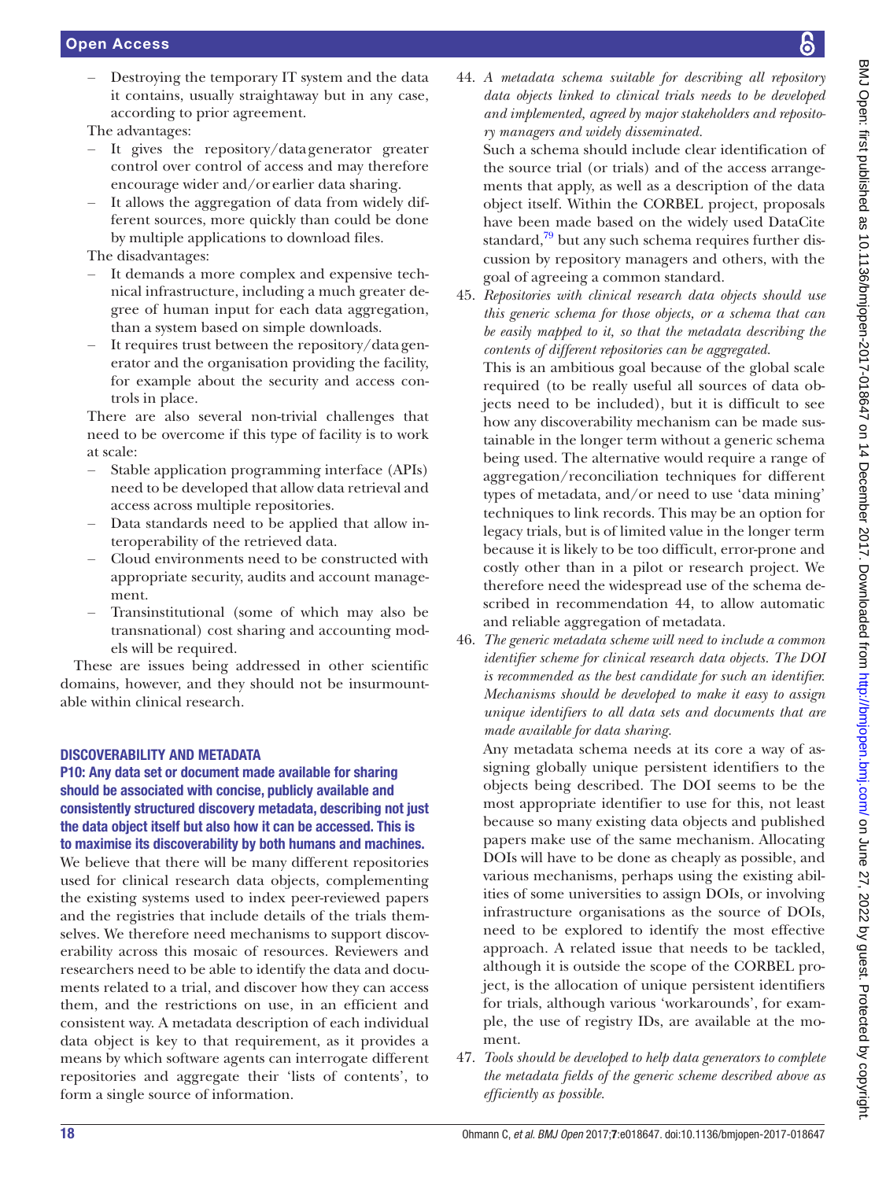– Destroying the temporary IT system and the data it contains, usually straightaway but in any case, according to prior agreement.

The advantages:

- It gives the repository/datagenerator greater control over control of access and may therefore encourage wider and/orearlier data sharing.
- It allows the aggregation of data from widely different sources, more quickly than could be done by multiple applications to download files.

The disadvantages:

- It demands a more complex and expensive technical infrastructure, including a much greater degree of human input for each data aggregation, than a system based on simple downloads.
- It requires trust between the repository/datagenerator and the organisation providing the facility, for example about the security and access controls in place.

There are also several non-trivial challenges that need to be overcome if this type of facility is to work at scale:

- Stable application programming interface (APIs) need to be developed that allow data retrieval and access across multiple repositories.
- Data standards need to be applied that allow interoperability of the retrieved data.
- Cloud environments need to be constructed with appropriate security, audits and account management.
- Transinstitutional (some of which may also be transnational) cost sharing and accounting models will be required.

These are issues being addressed in other scientific domains, however, and they should not be insurmountable within clinical research.

#### DISCOVERABILITY AND METADATA

P10: Any data set or document made available for sharing should be associated with concise, publicly available and consistently structured discovery metadata, describing not just the data object itself but also how it can be accessed. This is to maximise its discoverability by both humans and machines. We believe that there will be many different repositories used for clinical research data objects, complementing the existing systems used to index peer-reviewed papers and the registries that include details of the trials themselves. We therefore need mechanisms to support discoverability across this mosaic of resources. Reviewers and researchers need to be able to identify the data and documents related to a trial, and discover how they can access them, and the restrictions on use, in an efficient and consistent way. A metadata description of each individual data object is key to that requirement, as it provides a means by which software agents can interrogate different repositories and aggregate their 'lists of contents', to form a single source of information.

44. *A metadata schema suitable for describing all repository data objects linked to clinical trials needs to be developed and implemented, agreed by major stakeholders and repository managers and widely disseminated.*

Such a schema should include clear identification of the source trial (or trials) and of the access arrangements that apply, as well as a description of the data object itself. Within the CORBEL project, proposals have been made based on the widely used DataCite standard, $\frac{79}{12}$  but any such schema requires further discussion by repository managers and others, with the goal of agreeing a common standard.

45. *Repositories with clinical research data objects should use this generic schema for those objects, or a schema that can be easily mapped to it, so that the metadata describing the contents of different repositories can be aggregated.*

This is an ambitious goal because of the global scale required (to be really useful all sources of data objects need to be included), but it is difficult to see how any discoverability mechanism can be made sustainable in the longer term without a generic schema being used. The alternative would require a range of aggregation/reconciliation techniques for different types of metadata, and/or need to use 'data mining' techniques to link records. This may be an option for legacy trials, but is of limited value in the longer term because it is likely to be too difficult, error-prone and costly other than in a pilot or research project. We therefore need the widespread use of the schema described in recommendation 44, to allow automatic and reliable aggregation of metadata.

46. *The generic metadata scheme will need to include a common identifier scheme for clinical research data objects. The DOI is recommended as the best candidate for such an identifier. Mechanisms should be developed to make it easy to assign unique identifiers to all data sets and documents that are made available for data sharing.*

Any metadata schema needs at its core a way of assigning globally unique persistent identifiers to the objects being described. The DOI seems to be the most appropriate identifier to use for this, not least because so many existing data objects and published papers make use of the same mechanism. Allocating DOIs will have to be done as cheaply as possible, and various mechanisms, perhaps using the existing abilities of some universities to assign DOIs, or involving infrastructure organisations as the source of DOIs, need to be explored to identify the most effective approach. A related issue that needs to be tackled, although it is outside the scope of the CORBEL project, is the allocation of unique persistent identifiers for trials, although various 'workarounds', for example, the use of registry IDs, are available at the moment.

47. *Tools should be developed to help data generators to complete the metadata fields of the generic scheme described above as efficiently as possible.*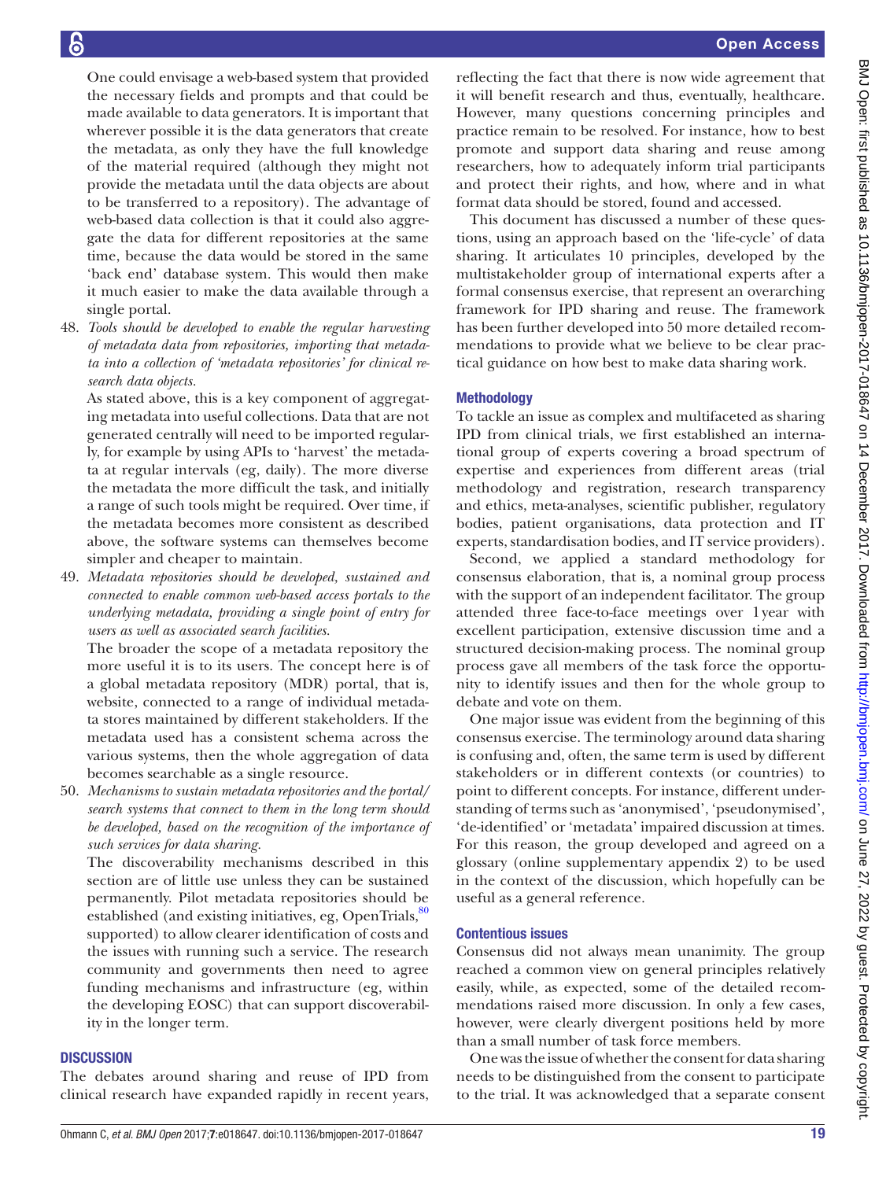One could envisage a web-based system that provided the necessary fields and prompts and that could be made available to data generators. It is important that wherever possible it is the data generators that create the metadata, as only they have the full knowledge of the material required (although they might not provide the metadata until the data objects are about to be transferred to a repository). The advantage of web-based data collection is that it could also aggregate the data for different repositories at the same time, because the data would be stored in the same 'back end' database system. This would then make it much easier to make the data available through a single portal.

48. *Tools should be developed to enable the regular harvesting of metadata data from repositories, importing that metadata into a collection of 'metadata repositories' for clinical research data objects.*

As stated above, this is a key component of aggregating metadata into useful collections. Data that are not generated centrally will need to be imported regularly, for example by using APIs to 'harvest' the metadata at regular intervals (eg, daily). The more diverse the metadata the more difficult the task, and initially a range of such tools might be required. Over time, if the metadata becomes more consistent as described above, the software systems can themselves become simpler and cheaper to maintain.

49. *Metadata repositories should be developed, sustained and connected to enable common web-based access portals to the underlying metadata, providing a single point of entry for users as well as associated search facilities.*

The broader the scope of a metadata repository the more useful it is to its users. The concept here is of a global metadata repository (MDR) portal, that is, website, connected to a range of individual metadata stores maintained by different stakeholders. If the metadata used has a consistent schema across the various systems, then the whole aggregation of data becomes searchable as a single resource.

50. *Mechanisms to sustain metadata repositories and the portal/ search systems that connect to them in the long term should be developed, based on the recognition of the importance of such services for data sharing.*

The discoverability mechanisms described in this section are of little use unless they can be sustained permanently. Pilot metadata repositories should be established (and existing initiatives, eg, OpenTrials, $\frac{80}{2}$ supported) to allow clearer identification of costs and the issues with running such a service. The research community and governments then need to agree funding mechanisms and infrastructure (eg, within the developing EOSC) that can support discoverability in the longer term.

#### **DISCUSSION**

The debates around sharing and reuse of IPD from clinical research have expanded rapidly in recent years,

reflecting the fact that there is now wide agreement that it will benefit research and thus, eventually, healthcare. However, many questions concerning principles and practice remain to be resolved. For instance, how to best promote and support data sharing and reuse among researchers, how to adequately inform trial participants and protect their rights, and how, where and in what format data should be stored, found and accessed.

This document has discussed a number of these questions, using an approach based on the 'life-cycle' of data sharing. It articulates 10 principles, developed by the multistakeholder group of international experts after a formal consensus exercise, that represent an overarching framework for IPD sharing and reuse. The framework has been further developed into 50 more detailed recommendations to provide what we believe to be clear practical guidance on how best to make data sharing work.

#### **Methodology**

To tackle an issue as complex and multifaceted as sharing IPD from clinical trials, we first established an international group of experts covering a broad spectrum of expertise and experiences from different areas (trial methodology and registration, research transparency and ethics, meta-analyses, scientific publisher, regulatory bodies, patient organisations, data protection and IT experts, standardisation bodies, and IT service providers).

Second, we applied a standard methodology for consensus elaboration, that is, a nominal group process with the support of an independent facilitator. The group attended three face-to-face meetings over 1year with excellent participation, extensive discussion time and a structured decision-making process. The nominal group process gave all members of the task force the opportunity to identify issues and then for the whole group to debate and vote on them.

One major issue was evident from the beginning of this consensus exercise. The terminology around data sharing is confusing and, often, the same term is used by different stakeholders or in different contexts (or countries) to point to different concepts. For instance, different understanding of terms such as 'anonymised', 'pseudonymised', 'de-identified' or 'metadata' impaired discussion at times. For this reason, the group developed and agreed on a glossary (online [supplementary appendix 2\)](https://dx.doi.org/10.1136/bmjopen-2017-018647) to be used in the context of the discussion, which hopefully can be useful as a general reference.

#### Contentious issues

Consensus did not always mean unanimity. The group reached a common view on general principles relatively easily, while, as expected, some of the detailed recommendations raised more discussion. In only a few cases, however, were clearly divergent positions held by more than a small number of task force members.

One was the issue of whether the consent for data sharing needs to be distinguished from the consent to participate to the trial. It was acknowledged that a separate consent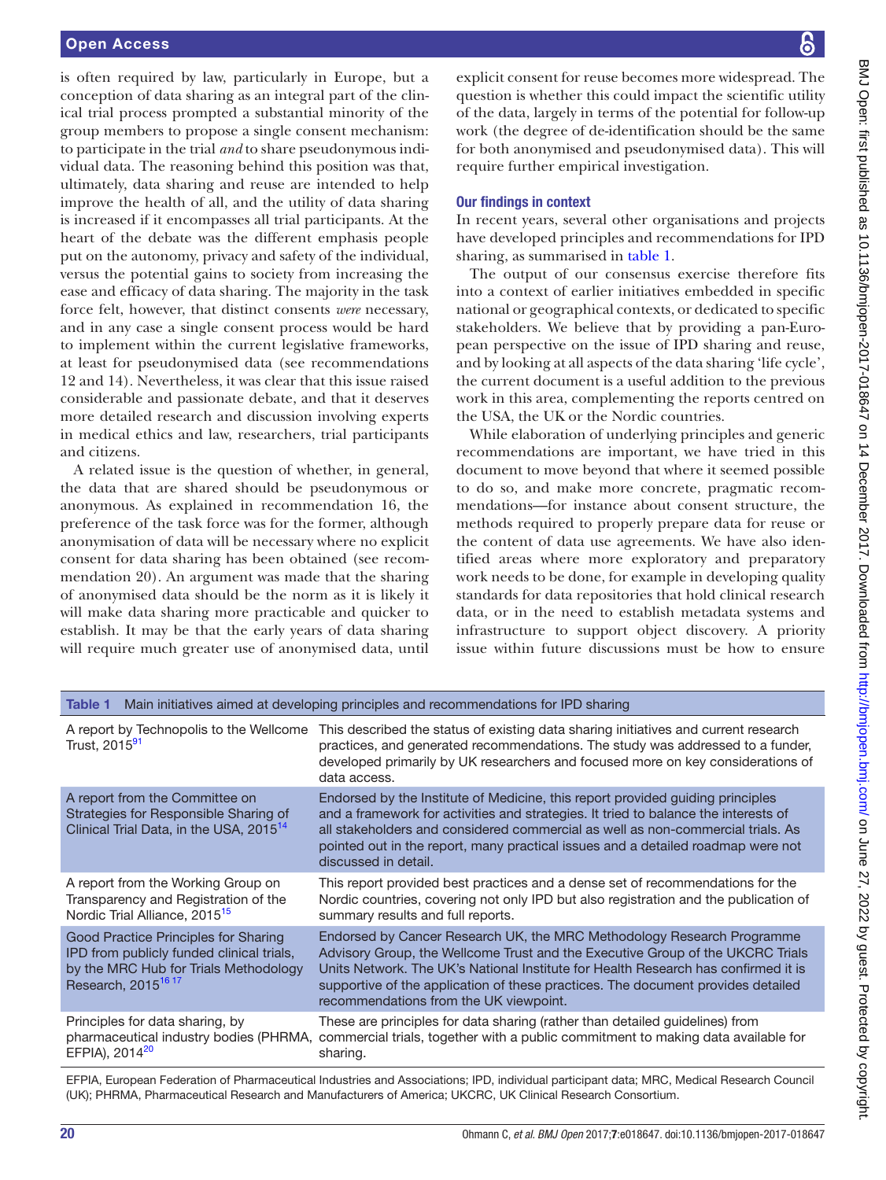is often required by law, particularly in Europe, but a conception of data sharing as an integral part of the clinical trial process prompted a substantial minority of the group members to propose a single consent mechanism: to participate in the trial *and* to share pseudonymous individual data. The reasoning behind this position was that, ultimately, data sharing and reuse are intended to help improve the health of all, and the utility of data sharing is increased if it encompasses all trial participants. At the heart of the debate was the different emphasis people put on the autonomy, privacy and safety of the individual, versus the potential gains to society from increasing the ease and efficacy of data sharing. The majority in the task force felt, however, that distinct consents *were* necessary, and in any case a single consent process would be hard to implement within the current legislative frameworks, at least for pseudonymised data (see recommendations 12 and 14). Nevertheless, it was clear that this issue raised considerable and passionate debate, and that it deserves more detailed research and discussion involving experts in medical ethics and law, researchers, trial participants and citizens.

A related issue is the question of whether, in general, the data that are shared should be pseudonymous or anonymous. As explained in recommendation 16, the preference of the task force was for the former, although anonymisation of data will be necessary where no explicit consent for data sharing has been obtained (see recommendation 20). An argument was made that the sharing of anonymised data should be the norm as it is likely it will make data sharing more practicable and quicker to establish. It may be that the early years of data sharing will require much greater use of anonymised data, until

explicit consent for reuse becomes more widespread. The question is whether this could impact the scientific utility of the data, largely in terms of the potential for follow-up work (the degree of de-identification should be the same for both anonymised and pseudonymised data). This will require further empirical investigation.

#### Our findings in context

In recent years, several other organisations and projects have developed principles and recommendations for IPD sharing, as summarised in [table](#page-19-0) 1.

The output of our consensus exercise therefore fits into a context of earlier initiatives embedded in specific national or geographical contexts, or dedicated to specific stakeholders. We believe that by providing a pan-European perspective on the issue of IPD sharing and reuse, and by looking at all aspects of the data sharing 'life cycle', the current document is a useful addition to the previous work in this area, complementing the reports centred on the USA, the UK or the Nordic countries.

While elaboration of underlying principles and generic recommendations are important, we have tried in this document to move beyond that where it seemed possible to do so, and make more concrete, pragmatic recommendations—for instance about consent structure, the methods required to properly prepare data for reuse or the content of data use agreements. We have also identified areas where more exploratory and preparatory work needs to be done, for example in developing quality standards for data repositories that hold clinical research data, or in the need to establish metadata systems and infrastructure to support object discovery. A priority issue within future discussions must be how to ensure

<span id="page-19-0"></span>

| <u>rable Terrain impanyes antieu at ueveloping principies anu recommendations for in Disnamig</u>                                                                        |                                                                                                                                                                                                                                                                                                                                                                              |
|--------------------------------------------------------------------------------------------------------------------------------------------------------------------------|------------------------------------------------------------------------------------------------------------------------------------------------------------------------------------------------------------------------------------------------------------------------------------------------------------------------------------------------------------------------------|
| A report by Technopolis to the Wellcome<br>Trust, 2015 <sup>91</sup>                                                                                                     | This described the status of existing data sharing initiatives and current research<br>practices, and generated recommendations. The study was addressed to a funder,<br>developed primarily by UK researchers and focused more on key considerations of<br>data access.                                                                                                     |
| A report from the Committee on<br>Strategies for Responsible Sharing of<br>Clinical Trial Data, in the USA, 2015 <sup>14</sup>                                           | Endorsed by the Institute of Medicine, this report provided guiding principles<br>and a framework for activities and strategies. It tried to balance the interests of<br>all stakeholders and considered commercial as well as non-commercial trials. As<br>pointed out in the report, many practical issues and a detailed roadmap were not<br>discussed in detail.         |
| A report from the Working Group on<br>Transparency and Registration of the<br>Nordic Trial Alliance, 2015 <sup>15</sup>                                                  | This report provided best practices and a dense set of recommendations for the<br>Nordic countries, covering not only IPD but also registration and the publication of<br>summary results and full reports.                                                                                                                                                                  |
| Good Practice Principles for Sharing<br>IPD from publicly funded clinical trials,<br>by the MRC Hub for Trials Methodology<br>Research, 2015 <sup>16</sup> <sup>17</sup> | Endorsed by Cancer Research UK, the MRC Methodology Research Programme<br>Advisory Group, the Wellcome Trust and the Executive Group of the UKCRC Trials<br>Units Network. The UK's National Institute for Health Research has confirmed it is<br>supportive of the application of these practices. The document provides detailed<br>recommendations from the UK viewpoint. |
| Principles for data sharing, by<br>EFPIA), 2014 <sup>20</sup>                                                                                                            | These are principles for data sharing (rather than detailed guidelines) from<br>pharmaceutical industry bodies (PHRMA, commercial trials, together with a public commitment to making data available for<br>sharing.                                                                                                                                                         |

Table 1 Main initiatives aimed at developing principles and recommendations for IPD sharing

EFPIA, European Federation of Pharmaceutical Industries and Associations; IPD, individual participant data; MRC, Medical Research Council (UK); PHRMA, Pharmaceutical Research and Manufacturers of America; UKCRC, UK Clinical Research Consortium.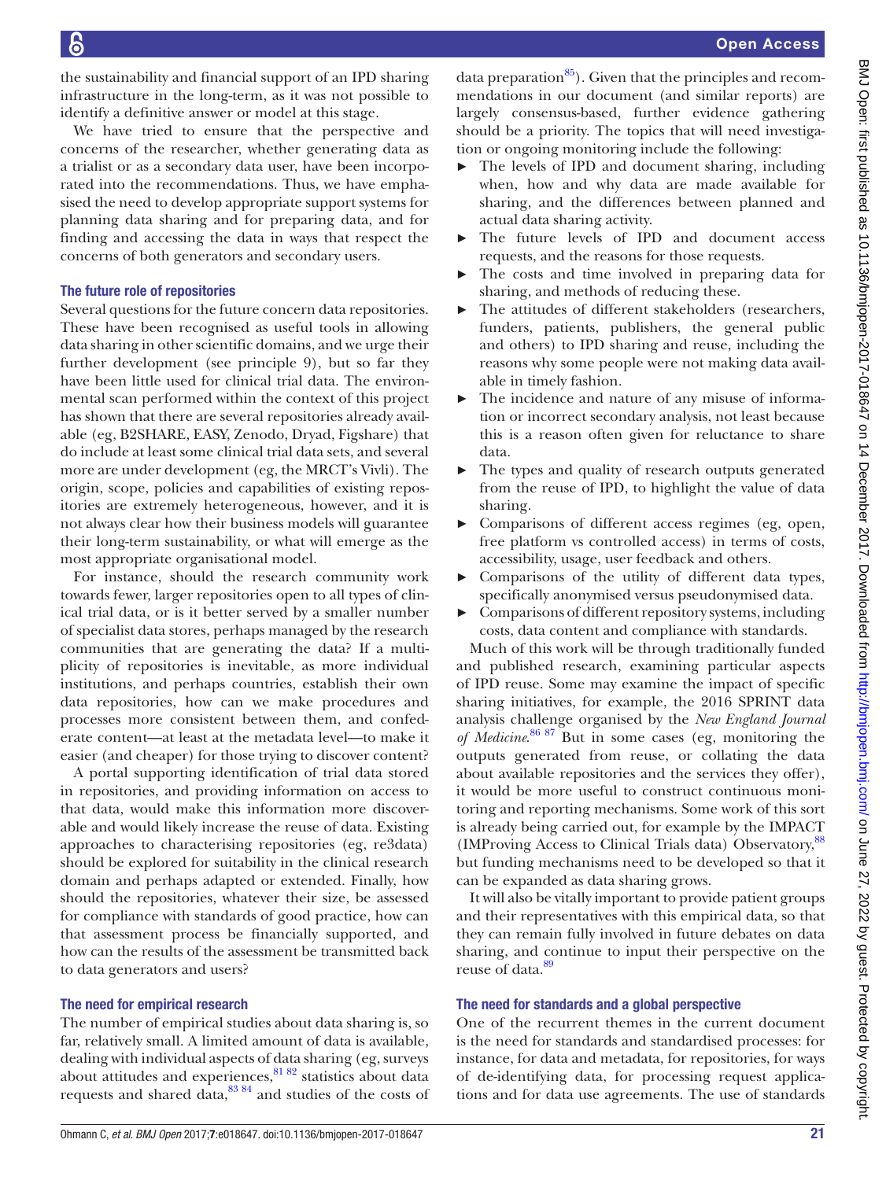the sustainability and financial support of an IPD sharing infrastructure in the long-term, as it was not possible to identify a definitive answer or model at this stage.

We have tried to ensure that the perspective and concerns of the researcher, whether generating data as a trialist or as a secondary data user, have been incorporated into the recommendations. Thus, we have emphasised the need to develop appropriate support systems for planning data sharing and for preparing data, and for finding and accessing the data in ways that respect the concerns of both generators and secondary users.

#### The future role of repositories

Several questions for the future concern data repositories. These have been recognised as useful tools in allowing data sharing in other scientific domains, and we urge their further development (see principle 9), but so far they have been little used for clinical trial data. The environmental scan performed within the context of this project has shown that there are several repositories already available (eg, B2SHARE, EASY, Zenodo, Dryad, Figshare) that do include at least some clinical trial data sets, and several more are under development (eg, the MRCT's Vivli). The origin, scope, policies and capabilities of existing repositories are extremely heterogeneous, however, and it is not always clear how their business models will guarantee their long-term sustainability, or what will emerge as the most appropriate organisational model.

For instance, should the research community work towards fewer, larger repositories open to all types of clinical trial data, or is it better served by a smaller number of specialist data stores, perhaps managed by the research communities that are generating the data? If a multiplicity of repositories is inevitable, as more individual institutions, and perhaps countries, establish their own data repositories, how can we make procedures and processes more consistent between them, and confederate content—at least at the metadata level—to make it easier (and cheaper) for those trying to discover content?

A portal supporting identification of trial data stored in repositories, and providing information on access to that data, would make this information more discoverable and would likely increase the reuse of data. Existing approaches to characterising repositories (eg, re3data) should be explored for suitability in the clinical research domain and perhaps adapted or extended. Finally, how should the repositories, whatever their size, be assessed for compliance with standards of good practice, how can that assessment process be financially supported, and how can the results of the assessment be transmitted back to data generators and users?

#### The need for empirical research

The number of empirical studies about data sharing is, so far, relatively small. A limited amount of data is available, dealing with individual aspects of data sharing (eg, surveys about attitudes and experiences,<sup>81 82</sup> statistics about data requests and shared data, $83.84$  and studies of the costs of data preparation $^{85}$ ). Given that the principles and recommendations in our document (and similar reports) are largely consensus-based, further evidence gathering should be a priority. The topics that will need investigation or ongoing monitoring include the following:

- ► The levels of IPD and document sharing, including when, how and why data are made available for sharing, and the differences between planned and actual data sharing activity.
- ► The future levels of IPD and document access requests, and the reasons for those requests.
- The costs and time involved in preparing data for sharing, and methods of reducing these.
- ► The attitudes of different stakeholders (researchers, funders, patients, publishers, the general public and others) to IPD sharing and reuse, including the reasons why some people were not making data available in timely fashion.
- ► The incidence and nature of any misuse of information or incorrect secondary analysis, not least because this is a reason often given for reluctance to share data.
- ► The types and quality of research outputs generated from the reuse of IPD, to highlight the value of data sharing.
- ► Comparisons of different access regimes (eg, open, free platform vs controlled access) in terms of costs, accessibility, usage, user feedback and others.
- Comparisons of the utility of different data types, specifically anonymised versus pseudonymised data.
- ► Comparisons of different repository systems, including costs, data content and compliance with standards.

Much of this work will be through traditionally funded and published research, examining particular aspects of IPD reuse. Some may examine the impact of specific sharing initiatives, for example, the 2016 SPRINT data analysis challenge organised by the *New England Journal of Medicine*. [86 87](#page-23-34) But in some cases (eg, monitoring the outputs generated from reuse, or collating the data about available repositories and the services they offer), it would be more useful to construct continuous monitoring and reporting mechanisms. Some work of this sort is already being carried out, for example by the IMPACT (IMProving Access to Clinical Trials data) Observatory,[88](#page-23-35) but funding mechanisms need to be developed so that it can be expanded as data sharing grows.

It will also be vitally important to provide patient groups and their representatives with this empirical data, so that they can remain fully involved in future debates on data sharing, and continue to input their perspective on the reuse of data.<sup>[89](#page-23-36)</sup>

#### The need for standards and a global perspective

One of the recurrent themes in the current document is the need for standards and standardised processes: for instance, for data and metadata, for repositories, for ways of de-identifying data, for processing request applications and for data use agreements. The use of standards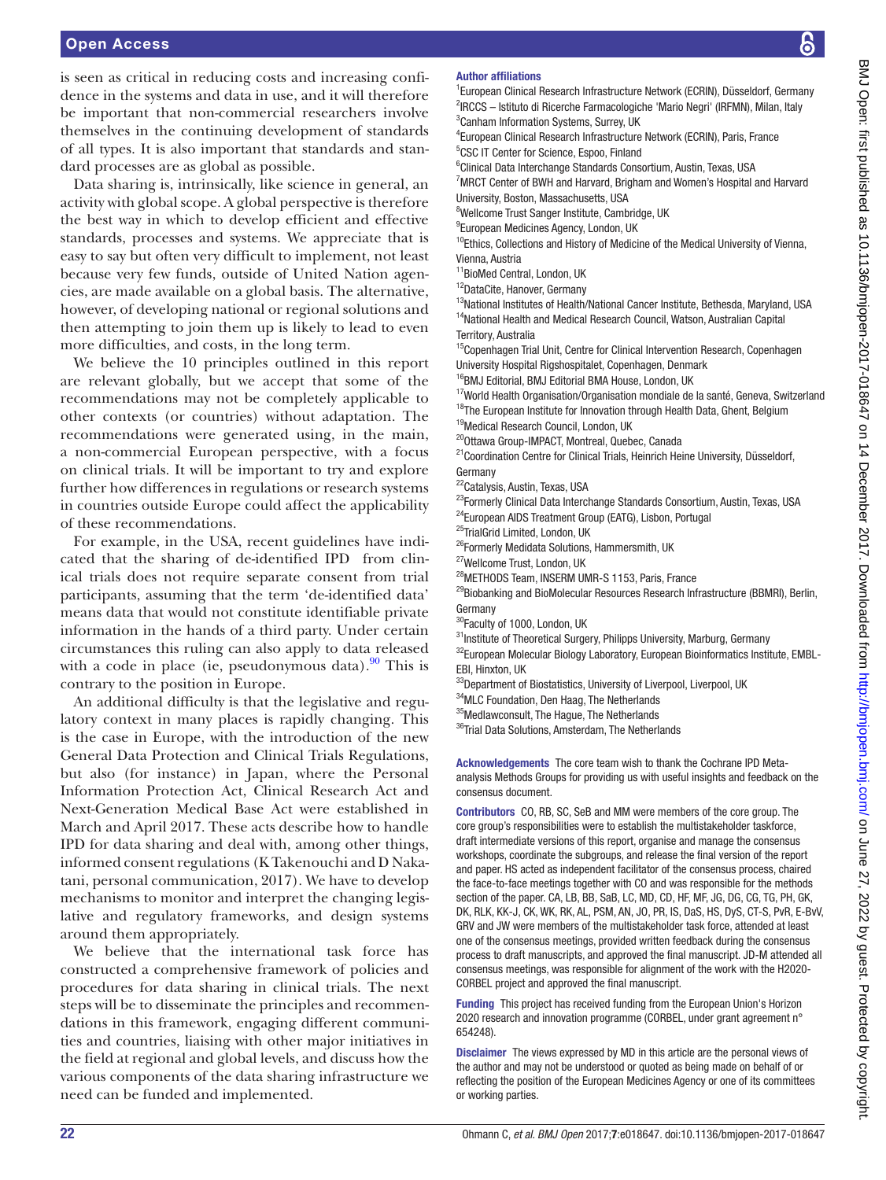#### Open Access

is seen as critical in reducing costs and increasing confidence in the systems and data in use, and it will therefore be important that non-commercial researchers involve themselves in the continuing development of standards of all types. It is also important that standards and standard processes are as global as possible.

Data sharing is, intrinsically, like science in general, an activity with global scope. A global perspective is therefore the best way in which to develop efficient and effective standards, processes and systems. We appreciate that is easy to say but often very difficult to implement, not least because very few funds, outside of United Nation agencies, are made available on a global basis. The alternative, however, of developing national or regional solutions and then attempting to join them up is likely to lead to even more difficulties, and costs, in the long term.

We believe the 10 principles outlined in this report are relevant globally, but we accept that some of the recommendations may not be completely applicable to other contexts (or countries) without adaptation. The recommendations were generated using, in the main, a non-commercial European perspective, with a focus on clinical trials. It will be important to try and explore further how differences in regulations or research systems in countries outside Europe could affect the applicability of these recommendations.

For example, in the USA, recent guidelines have indicated that the sharing of de-identified IPD from clinical trials does not require separate consent from trial participants, assuming that the term 'de-identified data' means data that would not constitute identifiable private information in the hands of a third party. Under certain circumstances this ruling can also apply to data released with a code in place (ie, pseudonymous data).  $90$  This is contrary to the position in Europe.

An additional difficulty is that the legislative and regulatory context in many places is rapidly changing. This is the case in Europe, with the introduction of the new General Data Protection and Clinical Trials Regulations, but also (for instance) in Japan, where the Personal Information Protection Act, Clinical Research Act and Next-Generation Medical Base Act were established in March and April 2017. These acts describe how to handle IPD for data sharing and deal with, among other things, informed consent regulations (K Takenouchi and D Nakatani, personal communication, 2017). We have to develop mechanisms to monitor and interpret the changing legislative and regulatory frameworks, and design systems around them appropriately.

We believe that the international task force has constructed a comprehensive framework of policies and procedures for data sharing in clinical trials. The next steps will be to disseminate the principles and recommendations in this framework, engaging different communities and countries, liaising with other major initiatives in the field at regional and global levels, and discuss how the various components of the data sharing infrastructure we need can be funded and implemented.

#### Author affiliations

<sup>1</sup> European Clinical Research Infrastructure Network (ECRIN), Düsseldorf, Germany <sup>2</sup>IRCCS - Istituto di Ricerche Farmacologiche 'Mario Negri' (IRFMN), Milan, Italy 3 Canham Information Systems, Surrey, UK

4 European Clinical Research Infrastructure Network (ECRIN), Paris, France 5 CSC IT Center for Science, Espoo, Finland

6 Clinical Data Interchange Standards Consortium, Austin, Texas, USA <sup>7</sup> MRCT Center of BWH and Harvard, Brigham and Women's Hospital and Harvard University, Boston, Massachusetts, USA

<sup>8</sup>Wellcome Trust Sanger Institute, Cambridge, UK

9 European Medicines Agency, London, UK

<sup>10</sup>Ethics, Collections and History of Medicine of the Medical University of Vienna, Vienna, Austria

11BioMed Central, London, UK

<sup>12</sup>DataCite, Hanover, Germany

<sup>13</sup>National Institutes of Health/National Cancer Institute, Bethesda, Maryland, USA <sup>14</sup>National Health and Medical Research Council, Watson, Australian Capital Territory, Australia

<sup>15</sup>Copenhagen Trial Unit, Centre for Clinical Intervention Research, Copenhagen University Hospital Rigshospitalet, Copenhagen, Denmark

<sup>16</sup>BMJ Editorial, BMJ Editorial BMA House, London, UK

<sup>17</sup>World Health Organisation/Organisation mondiale de la santé, Geneva, Switzerland  $18$ The European Institute for Innovation through Health Data, Ghent, Belgium

19 Medical Research Council, London, UK

<sup>20</sup>Ottawa Group-IMPACT, Montreal, Quebec, Canada

<sup>21</sup>Coordination Centre for Clinical Trials, Heinrich Heine University, Düsseldorf, Germany

22Catalysis, Austin, Texas, USA

<sup>23</sup>Formerly Clinical Data Interchange Standards Consortium, Austin, Texas, USA 24European AIDS Treatment Group (EATG), Lisbon, Portugal

25TrialGrid Limited, London, UK

26Formerly Medidata Solutions, Hammersmith, UK

27Wellcome Trust, London, UK

28METHODS Team, INSERM UMR-S 1153, Paris, France

<sup>29</sup>Biobanking and BioMolecular Resources Research Infrastructure (BBMRI), Berlin, **Germany** 

30Faculty of 1000, London, UK

<sup>31</sup> Institute of Theoretical Surgery, Philipps University, Marburg, Germany

<sup>32</sup>European Molecular Biology Laboratory, European Bioinformatics Institute, EMBL-EBI, Hinxton, UK

33Department of Biostatistics, University of Liverpool, Liverpool, UK

34MLC Foundation, Den Haag, The Netherlands

<sup>35</sup>Medlawconsult, The Hague, The Netherlands

36Trial Data Solutions, Amsterdam, The Netherlands

Acknowledgements The core team wish to thank the Cochrane IPD Metaanalysis Methods Groups for providing us with useful insights and feedback on the consensus document.

Contributors CO, RB, SC, SeB and MM were members of the core group. The core group's responsibilities were to establish the multistakeholder taskforce, draft intermediate versions of this report, organise and manage the consensus workshops, coordinate the subgroups, and release the final version of the report and paper. HS acted as independent facilitator of the consensus process, chaired the face-to-face meetings together with CO and was responsible for the methods section of the paper. CA, LB, BB, SaB, LC, MD, CD, HF, MF, JG, DG, CG, TG, PH, GK, DK, RLK, KK-J, CK, WK, RK, AL, PSM, AN, JO, PR, IS, DaS, HS, DyS, CT-S, PvR, E-BvV, GRV and JW were members of the multistakeholder task force, attended at least one of the consensus meetings, provided written feedback during the consensus process to draft manuscripts, and approved the final manuscript. JD-M attended all consensus meetings, was responsible for alignment of the work with the H2020- CORBEL project and approved the final manuscript.

Funding This project has received funding from the European Union's Horizon 2020 research and innovation programme (CORBEL, under grant agreement n° 654248).

Disclaimer The views expressed by MD in this article are the personal views of the author and may not be understood or quoted as being made on behalf of or reflecting the position of the European Medicines Agency or one of its committees or working parties.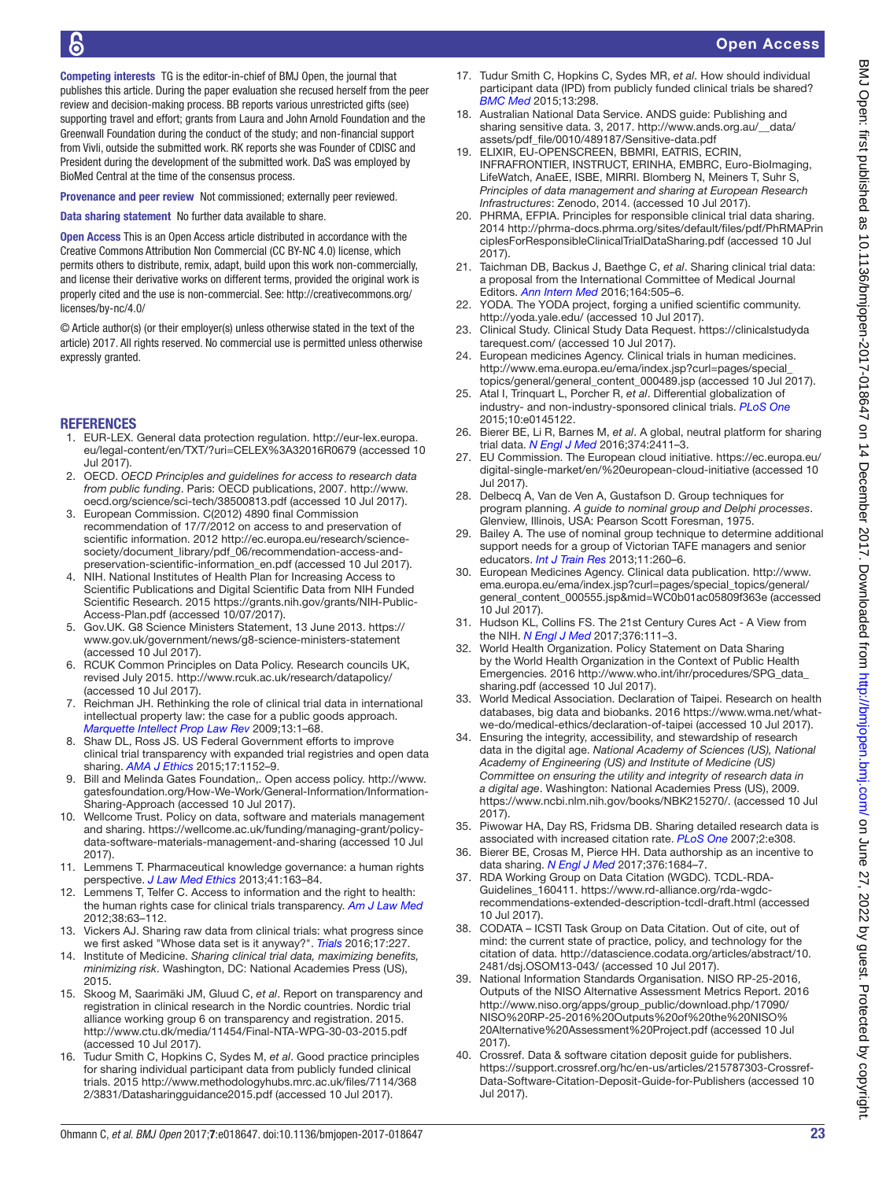Open Access

Competing interests TG is the editor-in-chief of BMJ Open, the journal that publishes this article. During the paper evaluation she recused herself from the peer review and decision-making process. BB reports various unrestricted gifts (see) supporting travel and effort; grants from Laura and John Arnold Foundation and the Greenwall Foundation during the conduct of the study; and non-financial support from Vivli, outside the submitted work. RK reports she was Founder of CDISC and President during the development of the submitted work. DaS was employed by BioMed Central at the time of the consensus process.

Provenance and peer review Not commissioned; externally peer reviewed.

Data sharing statement No further data available to share.

Open Access This is an Open Access article distributed in accordance with the Creative Commons Attribution Non Commercial (CC BY-NC 4.0) license, which permits others to distribute, remix, adapt, build upon this work non-commercially, and license their derivative works on different terms, provided the original work is properly cited and the use is non-commercial. See: [http://creativecommons.org/](http://creativecommons.org/licenses/by-nc/4.0/) [licenses/by-nc/4.0/](http://creativecommons.org/licenses/by-nc/4.0/)

© Article author(s) (or their employer(s) unless otherwise stated in the text of the article) 2017. All rights reserved. No commercial use is permitted unless otherwise expressly granted.

#### **REFERENCES**

- <span id="page-22-34"></span>1. EUR-LEX. General data protection regulation. [http://eur-lex.europa.](http://eur-lex.europa.eu/legal-content/en/TXT/?uri=CELEX%3A32016R0679) [eu/legal-content/en/TXT/?uri=CELEX%3A32016R0679](http://eur-lex.europa.eu/legal-content/en/TXT/?uri=CELEX%3A32016R0679) (accessed 10 Jul 2017).
- <span id="page-22-0"></span>2. OECD. *OECD Principles and guidelines for access to research data from public funding*. Paris: OECD publications, 2007. [http://www.](http://www.oecd.org/science/sci-tech/38500813.pdf) [oecd.org/science/sci-tech/38500813.pdf](http://www.oecd.org/science/sci-tech/38500813.pdf) (accessed 10 Jul 2017).
- <span id="page-22-1"></span>3. European Commission. C(2012) 4890 final Commission recommendation of 17/7/2012 on access to and preservation of scientific information. 2012 [http://ec.europa.eu/research/science](http://ec.europa.eu/research/science-society/document_library/pdf_06/recommendation-access-and-preservation-scientific-information_en.pdf)[society/document\\_library/pdf\\_06/recommendation-access-and](http://ec.europa.eu/research/science-society/document_library/pdf_06/recommendation-access-and-preservation-scientific-information_en.pdf)[preservation-scientific-information\\_en.pdf](http://ec.europa.eu/research/science-society/document_library/pdf_06/recommendation-access-and-preservation-scientific-information_en.pdf) (accessed 10 Jul 2017).
- <span id="page-22-2"></span>4. NIH. National Institutes of Health Plan for Increasing Access to Scientific Publications and Digital Scientific Data from NIH Funded Scientific Research. 2015 [https://grants.nih.gov/grants/NIH-Public-](https://grants.nih.gov/grants/NIH-Public-Access-Plan.pdf)[Access-Plan.pdf](https://grants.nih.gov/grants/NIH-Public-Access-Plan.pdf) (accessed 10/07/2017).
- <span id="page-22-3"></span>5. Gov.UK. G8 Science Ministers Statement, 13 June 2013. [https://](https://www.gov.uk/government/news/g8-science-ministers-statement) [www.gov.uk/government/news/g8-science-ministers-statement](https://www.gov.uk/government/news/g8-science-ministers-statement) (accessed 10 Jul 2017).
- <span id="page-22-4"></span>6. RCUK Common Principles on Data Policy. Research councils UK, revised July 2015. <http://www.rcuk.ac.uk/research/datapolicy/> (accessed 10 Jul 2017).
- <span id="page-22-5"></span>7. Reichman JH. Rethinking the role of clinical trial data in international intellectual property law: the case for a public goods approach. *[Marquette Intellect Prop Law Rev](http://dx.doi.org/10.2139/ssrn.1433392)* 2009;13:1–68.
- <span id="page-22-6"></span>8. Shaw DL, Ross JS. US Federal Government efforts to improve clinical trial transparency with expanded trial registries and open data sharing. *[AMA J Ethics](http://dx.doi.org/10.1001/journalofethics.2015.17.12.pfor1-1512)* 2015;17:1152–9.
- <span id="page-22-7"></span>9. Bill and Melinda Gates Foundation,. Open access policy. [http://www.](http://www.gatesfoundation.org/How-We-Work/General-Information/Information-Sharing-Approach) [gatesfoundation.org/How-We-Work/General-Information/Information-](http://www.gatesfoundation.org/How-We-Work/General-Information/Information-Sharing-Approach)[Sharing-Approach](http://www.gatesfoundation.org/How-We-Work/General-Information/Information-Sharing-Approach) (accessed 10 Jul 2017).
- <span id="page-22-8"></span>10. Wellcome Trust. Policy on data, software and materials management and sharing. [https://wellcome.ac.uk/funding/managing-grant/policy](https://wellcome.ac.uk/funding/managing-grant/policy-data-software-materials-management-and-sharing)[data-software-materials-management-and-sharing](https://wellcome.ac.uk/funding/managing-grant/policy-data-software-materials-management-and-sharing) (accessed 10 Jul 2017).
- <span id="page-22-9"></span>11. Lemmens T. Pharmaceutical knowledge governance: a human rights perspective. *[J Law Med Ethics](http://dx.doi.org/10.1111/jlme.12012)* 2013;41:163–84.
- <span id="page-22-10"></span>12. Lemmens T, Telfer C. Access to information and the right to health: the human rights case for clinical trials transparency. *Am J Law Med* 2012;38:63–112.
- <span id="page-22-11"></span>13. Vickers AJ. Sharing raw data from clinical trials: what progress since we first asked "Whose data set is it anyway?". *[Trials](http://dx.doi.org/10.1186/s13063-016-1369-2)* 2016;17:227.
- <span id="page-22-12"></span>14. Institute of Medicine. *Sharing clinical trial data, maximizing benefits, minimizing risk*. Washington, DC: National Academies Press (US), 2015.
- <span id="page-22-13"></span>15. Skoog M, Saarimäki JM, Gluud C, *et al*. Report on transparency and registration in clinical research in the Nordic countries. Nordic trial alliance working group 6 on transparency and registration. 2015. <http://www.ctu.dk/media/11454/Final-NTA-WPG-30-03-2015.pdf> (accessed 10 Jul 2017).
- <span id="page-22-14"></span>16. Tudur Smith C, Hopkins C, Sydes M, *et al*. Good practice principles for sharing individual participant data from publicly funded clinical trials. 2015 [http://www.methodologyhubs.mrc.ac.uk/files/7114/368](http://www.methodologyhubs.mrc.ac.uk/files/7114/3682/3831/Datasharingguidance2015.pdf) [2/3831/Datasharingguidance2015.pdf](http://www.methodologyhubs.mrc.ac.uk/files/7114/3682/3831/Datasharingguidance2015.pdf) (accessed 10 Jul 2017).
- <span id="page-22-33"></span>17. Tudur Smith C, Hopkins C, Sydes MR, *et al*. How should individual participant data (IPD) from publicly funded clinical trials be shared? *[BMC Med](http://dx.doi.org/10.1186/s12916-015-0532-z)* 2015;13:298.
- <span id="page-22-15"></span>18. Australian National Data Service. ANDS guide: Publishing and sharing sensitive data. 3, 2017. http://www.ands.org.au/\_data/ [assets/pdf\\_file/0010/489187/Sensitive-data.pdf](http://www.ands.org.au/__data/assets/pdf_file/0010/489187/Sensitive-data.pdf)
- <span id="page-22-16"></span>19. ELIXIR, EU-OPENSCREEN, BBMRI, EATRIS, ECRIN, INFRAFRONTIER, INSTRUCT, ERINHA, EMBRC, Euro-BioImaging, LifeWatch, AnaEE, ISBE, MIRRI. Blomberg N, Meiners T, Suhr S, *Principles of data management and sharing at European Research Infrastructures*: Zenodo, 2014. (accessed 10 Jul 2017).
- <span id="page-22-17"></span>20. PHRMA, EFPIA. Principles for responsible clinical trial data sharing. 2014 [http://phrma-docs.phrma.org/sites/default/files/pdf/PhRMAPrin](http://phrma-docs.phrma.org/sites/default/files/pdf/PhRMAPrinciplesForResponsibleClinicalTrialDataSharing.pdf) [ciplesForResponsibleClinicalTrialDataSharing.pdf](http://phrma-docs.phrma.org/sites/default/files/pdf/PhRMAPrinciplesForResponsibleClinicalTrialDataSharing.pdf) (accessed 10 Jul 2017).
- <span id="page-22-18"></span>21. Taichman DB, Backus J, Baethge C, *et al*. Sharing clinical trial data: a proposal from the International Committee of Medical Journal Editors. *[Ann Intern Med](http://dx.doi.org/10.7326/M15-2928)* 2016;164:505–6.
- <span id="page-22-19"></span>22. YODA. The YODA project, forging a unified scientific community. <http://yoda.yale.edu/>(accessed 10 Jul 2017).
- <span id="page-22-20"></span>23. Clinical Study. Clinical Study Data Request. [https://clinicalstudyda](https://clinicalstudydatarequest.com/) [tarequest.com/](https://clinicalstudydatarequest.com/) (accessed 10 Jul 2017).
- <span id="page-22-21"></span>24. European medicines Agency. Clinical trials in human medicines. [http://www.ema.europa.eu/ema/index.jsp?curl=pages/special\\_](http://www.ema.europa.eu/ema/index.jsp?curl=pages/special_topics/general/general_content_000489.jsp) [topics/general/general\\_content\\_000489.jsp](http://www.ema.europa.eu/ema/index.jsp?curl=pages/special_topics/general/general_content_000489.jsp) (accessed 10 Jul 2017).
- 25. Atal I, Trinquart L, Porcher R, *et al*. Differential globalization of industry- and non-industry-sponsored clinical trials. *[PLoS One](http://dx.doi.org/10.1371/journal.pone.0145122)* 2015;10:e0145122.
- <span id="page-22-22"></span>26. Bierer BE, Li R, Barnes M, *et al*. A global, neutral platform for sharing trial data. *[N Engl J Med](http://dx.doi.org/10.1056/NEJMp1605348)* 2016;374:2411–3.
- <span id="page-22-23"></span>27. EU Commission. The European cloud initiative. [https://ec.europa.eu/](https://ec.europa.eu/digital-single-market/en/%20european-cloud-initiative) [digital-single-market/en/%20european-cloud-initiative](https://ec.europa.eu/digital-single-market/en/%20european-cloud-initiative) (accessed 10 Jul 2017).
- <span id="page-22-24"></span>28. Delbecq A, Van de Ven A, Gustafson D. Group techniques for program planning. *A guide to nominal group and Delphi processes*. Glenview, Illinois, USA: Pearson Scott Foresman, 1975.
- 29. Bailey A. The use of nominal group technique to determine additional support needs for a group of Victorian TAFE managers and senior educators. *[Int J Train Res](http://dx.doi.org/10.5172/ijtr.2013.11.3.260)* 2013;11:260–6.
- <span id="page-22-25"></span>30. European Medicines Agency. Clinical data publication. [http://www.](http://www.ema.europa.eu/ema/index.jsp?curl=pages/special_topics/general/general_content_000555.jsp&mid=WC0b01ac05809f363e) [ema.europa.eu/ema/index.jsp?curl=pages/special\\_topics/general/](http://www.ema.europa.eu/ema/index.jsp?curl=pages/special_topics/general/general_content_000555.jsp&mid=WC0b01ac05809f363e) [general\\_content\\_000555.jsp&mid=WC0b01ac05809f363e](http://www.ema.europa.eu/ema/index.jsp?curl=pages/special_topics/general/general_content_000555.jsp&mid=WC0b01ac05809f363e) (accessed 10 Jul 2017).
- <span id="page-22-26"></span>31. Hudson KL, Collins FS. The 21st Century Cures Act - A View from the NIH. *[N Engl J Med](http://dx.doi.org/10.1056/NEJMp1615745)* 2017;376:111–3.
- <span id="page-22-27"></span>32. World Health Organization. Policy Statement on Data Sharing by the World Health Organization in the Context of Public Health Emergencies. 2016 [http://www.who.int/ihr/procedures/SPG\\_data\\_](http://www.who.int/ihr/procedures/SPG_data_sharing.pdf) [sharing.pdf](http://www.who.int/ihr/procedures/SPG_data_sharing.pdf) (accessed 10 Jul 2017).
- <span id="page-22-28"></span>33. World Medical Association. Declaration of Taipei. Research on health databases, big data and biobanks. 2016 [https://www.wma.net/what](https://www.wma.net/what-we-do/medical-ethics/declaration-of-taipei)[we-do/medical-ethics/declaration-of-taipei](https://www.wma.net/what-we-do/medical-ethics/declaration-of-taipei) (accessed 10 Jul 2017).
- <span id="page-22-29"></span>34. Ensuring the integrity, accessibility, and stewardship of research data in the digital age. *National Academy of Sciences (US), National Academy of Engineering (US) and Institute of Medicine (US) Committee on ensuring the utility and integrity of research data in a digital age*. Washington: National Academies Press (US), 2009. [https://www.ncbi.nlm.nih.gov/books/NBK215270/.](https://www.ncbi.nlm.nih.gov/books/NBK215270/) (accessed 10 Jul 2017).
- <span id="page-22-30"></span>35. Piwowar HA, Day RS, Fridsma DB. Sharing detailed research data is associated with increased citation rate. *[PLoS One](http://dx.doi.org/10.1371/journal.pone.0000308)* 2007;2:e308.
- <span id="page-22-31"></span>36. Bierer BE, Crosas M, Pierce HH. Data authorship as an incentive to data sharing. *[N Engl J Med](http://dx.doi.org/10.1056/NEJMsb1616595)* 2017;376:1684–7.
- <span id="page-22-32"></span>37. RDA Working Group on Data Citation (WGDC). TCDL-RDA-Guidelines\_160411. [https://www.rd-alliance.org/rda-wgdc](https://www.rd-alliance.org/rda-wgdc-recommendations-extended-description-tcdl-draft.html)[recommendations-extended-description-tcdl-draft.html](https://www.rd-alliance.org/rda-wgdc-recommendations-extended-description-tcdl-draft.html) (accessed 10 Jul 2017).
- 38. CODATA ICSTI Task Group on Data Citation. Out of cite, out of mind: the current state of practice, policy, and technology for the citation of data. [http://datascience.codata.org/articles/abstract/10.](http://datascience.codata.org/articles/abstract/10.2481/dsj.OSOM13-043/) [2481/dsj.OSOM13-043/](http://datascience.codata.org/articles/abstract/10.2481/dsj.OSOM13-043/) (accessed 10 Jul 2017).
- 39. National Information Standards Organisation. NISO RP-25-2016, Outputs of the NISO Alternative Assessment Metrics Report. 2016 [http://www.niso.org/apps/group\\_public/download.php/17090/](http://www.niso.org/apps/group_public/download.php/17090/NISO%20RP-25-2016%20Outputs%20of%20the%20NISO%20Alternative%20Assessment%20Project.pdf) [NISO%20RP-25-2016%20Outputs%20of%20the%20NISO%](http://www.niso.org/apps/group_public/download.php/17090/NISO%20RP-25-2016%20Outputs%20of%20the%20NISO%20Alternative%20Assessment%20Project.pdf) [20Alternative%20Assessment%20Project.pdf](http://www.niso.org/apps/group_public/download.php/17090/NISO%20RP-25-2016%20Outputs%20of%20the%20NISO%20Alternative%20Assessment%20Project.pdf) (accessed 10 Jul 2017).
- <span id="page-22-35"></span>40. Crossref. Data & software citation deposit guide for publishers. [https://support.crossref.org/hc/en-us/articles/215787303-Crossref-](https://support.crossref.org/hc/en-us/articles/215787303-Crossref-Data-Software-Citation-Deposit-Guide-for-Publishers)[Data-Software-Citation-Deposit-Guide-for-Publishers](https://support.crossref.org/hc/en-us/articles/215787303-Crossref-Data-Software-Citation-Deposit-Guide-for-Publishers) (accessed 10 Jul 2017).